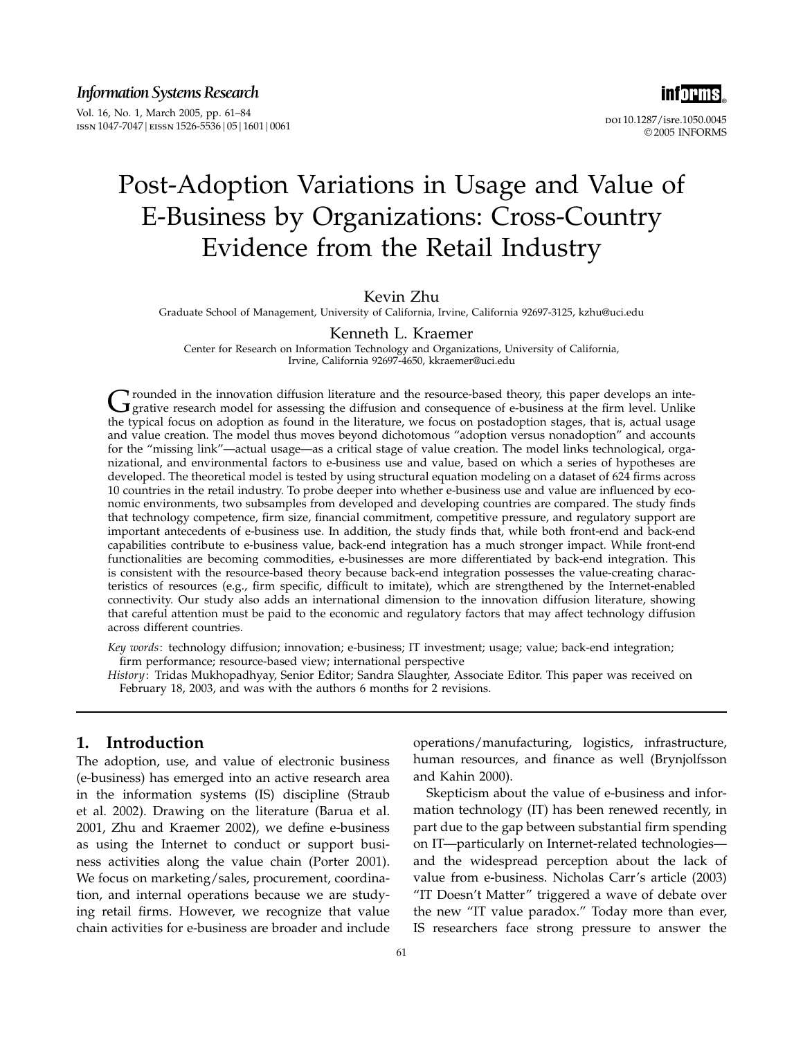*Information Systems Research*

Vol. 16, No. 1, March 2005, pp. 61–84 ISSN 1047-7047 | EISSN 1526-5536 | 05 | 1601 | 0061



doi 10.1287/isre.1050.0045 © 2005 INFORMS

# Post-Adoption Variations in Usage and Value of E-Business by Organizations: Cross-Country Evidence from the Retail Industry

## Kevin Zhu

Graduate School of Management, University of California, Irvine, California 92697-3125, kzhu@uci.edu

#### Kenneth L. Kraemer

Center for Research on Information Technology and Organizations, University of California, Irvine, California 92697-4650, kkraemer@uci.edu

Grounded in the innovation diffusion literature and the resource-based theory, this paper develops an inte-<br>Grative research model for assessing the diffusion and consequence of e-business at the firm level. Unlike<br>the typ the typical focus on adoption as found in the literature, we focus on postadoption stages, that is, actual usage and value creation. The model thus moves beyond dichotomous "adoption versus nonadoption" and accounts for the "missing link"—actual usage—as a critical stage of value creation. The model links technological, organizational, and environmental factors to e-business use and value, based on which a series of hypotheses are developed. The theoretical model is tested by using structural equation modeling on a dataset of 624 firms across 10 countries in the retail industry. To probe deeper into whether e-business use and value are influenced by economic environments, two subsamples from developed and developing countries are compared. The study finds that technology competence, firm size, financial commitment, competitive pressure, and regulatory support are important antecedents of e-business use. In addition, the study finds that, while both front-end and back-end capabilities contribute to e-business value, back-end integration has a much stronger impact. While front-end functionalities are becoming commodities, e-businesses are more differentiated by back-end integration. This is consistent with the resource-based theory because back-end integration possesses the value-creating characteristics of resources (e.g., firm specific, difficult to imitate), which are strengthened by the Internet-enabled connectivity. Our study also adds an international dimension to the innovation diffusion literature, showing that careful attention must be paid to the economic and regulatory factors that may affect technology diffusion across different countries.

Key words: technology diffusion; innovation; e-business; IT investment; usage; value; back-end integration; firm performance; resource-based view; international perspective

History: Tridas Mukhopadhyay, Senior Editor; Sandra Slaughter, Associate Editor. This paper was received on February 18, 2003, and was with the authors 6 months for 2 revisions.

# 1. Introduction

The adoption, use, and value of electronic business (e-business) has emerged into an active research area in the information systems (IS) discipline (Straub et al. 2002). Drawing on the literature (Barua et al. 2001, Zhu and Kraemer 2002), we define e-business as using the Internet to conduct or support business activities along the value chain (Porter 2001). We focus on marketing/sales, procurement, coordination, and internal operations because we are studying retail firms. However, we recognize that value chain activities for e-business are broader and include

operations/manufacturing, logistics, infrastructure, human resources, and finance as well (Brynjolfsson and Kahin 2000).

Skepticism about the value of e-business and information technology (IT) has been renewed recently, in part due to the gap between substantial firm spending on IT—particularly on Internet-related technologies and the widespread perception about the lack of value from e-business. Nicholas Carr's article (2003) "IT Doesn't Matter" triggered a wave of debate over the new "IT value paradox." Today more than ever, IS researchers face strong pressure to answer the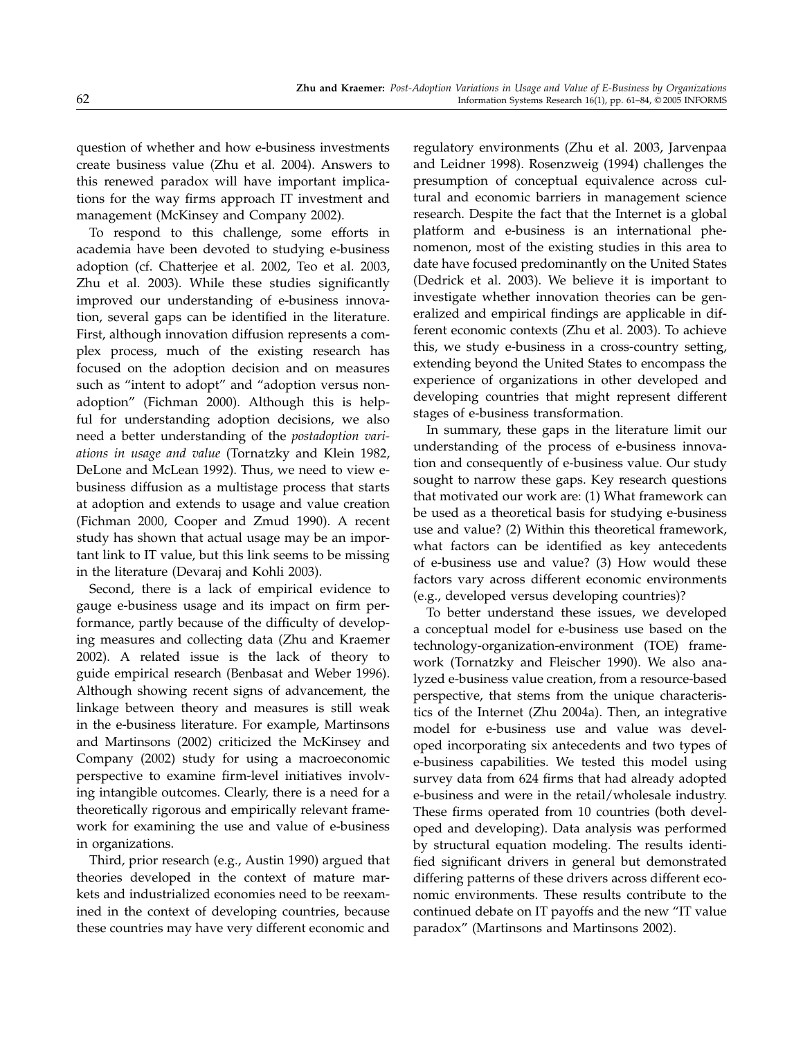question of whether and how e-business investments create business value (Zhu et al. 2004). Answers to this renewed paradox will have important implications for the way firms approach IT investment and management (McKinsey and Company 2002).

To respond to this challenge, some efforts in academia have been devoted to studying e-business adoption (cf. Chatterjee et al. 2002, Teo et al. 2003, Zhu et al. 2003). While these studies significantly improved our understanding of e-business innovation, several gaps can be identified in the literature. First, although innovation diffusion represents a complex process, much of the existing research has focused on the adoption decision and on measures such as "intent to adopt" and "adoption versus nonadoption" (Fichman 2000). Although this is helpful for understanding adoption decisions, we also need a better understanding of the postadoption variations in usage and value (Tornatzky and Klein 1982, DeLone and McLean 1992). Thus, we need to view ebusiness diffusion as a multistage process that starts at adoption and extends to usage and value creation (Fichman 2000, Cooper and Zmud 1990). A recent study has shown that actual usage may be an important link to IT value, but this link seems to be missing in the literature (Devaraj and Kohli 2003).

Second, there is a lack of empirical evidence to gauge e-business usage and its impact on firm performance, partly because of the difficulty of developing measures and collecting data (Zhu and Kraemer 2002). A related issue is the lack of theory to guide empirical research (Benbasat and Weber 1996). Although showing recent signs of advancement, the linkage between theory and measures is still weak in the e-business literature. For example, Martinsons and Martinsons (2002) criticized the McKinsey and Company (2002) study for using a macroeconomic perspective to examine firm-level initiatives involving intangible outcomes. Clearly, there is a need for a theoretically rigorous and empirically relevant framework for examining the use and value of e-business in organizations.

Third, prior research (e.g., Austin 1990) argued that theories developed in the context of mature markets and industrialized economies need to be reexamined in the context of developing countries, because these countries may have very different economic and

regulatory environments (Zhu et al. 2003, Jarvenpaa and Leidner 1998). Rosenzweig (1994) challenges the presumption of conceptual equivalence across cultural and economic barriers in management science research. Despite the fact that the Internet is a global platform and e-business is an international phenomenon, most of the existing studies in this area to date have focused predominantly on the United States (Dedrick et al. 2003). We believe it is important to investigate whether innovation theories can be generalized and empirical findings are applicable in different economic contexts (Zhu et al. 2003). To achieve this, we study e-business in a cross-country setting, extending beyond the United States to encompass the experience of organizations in other developed and developing countries that might represent different stages of e-business transformation.

In summary, these gaps in the literature limit our understanding of the process of e-business innovation and consequently of e-business value. Our study sought to narrow these gaps. Key research questions that motivated our work are: (1) What framework can be used as a theoretical basis for studying e-business use and value? (2) Within this theoretical framework, what factors can be identified as key antecedents of e-business use and value? (3) How would these factors vary across different economic environments (e.g., developed versus developing countries)?

To better understand these issues, we developed a conceptual model for e-business use based on the technology-organization-environment (TOE) framework (Tornatzky and Fleischer 1990). We also analyzed e-business value creation, from a resource-based perspective, that stems from the unique characteristics of the Internet (Zhu 2004a). Then, an integrative model for e-business use and value was developed incorporating six antecedents and two types of e-business capabilities. We tested this model using survey data from 624 firms that had already adopted e-business and were in the retail/wholesale industry. These firms operated from 10 countries (both developed and developing). Data analysis was performed by structural equation modeling. The results identified significant drivers in general but demonstrated differing patterns of these drivers across different economic environments. These results contribute to the continued debate on IT payoffs and the new "IT value paradox" (Martinsons and Martinsons 2002).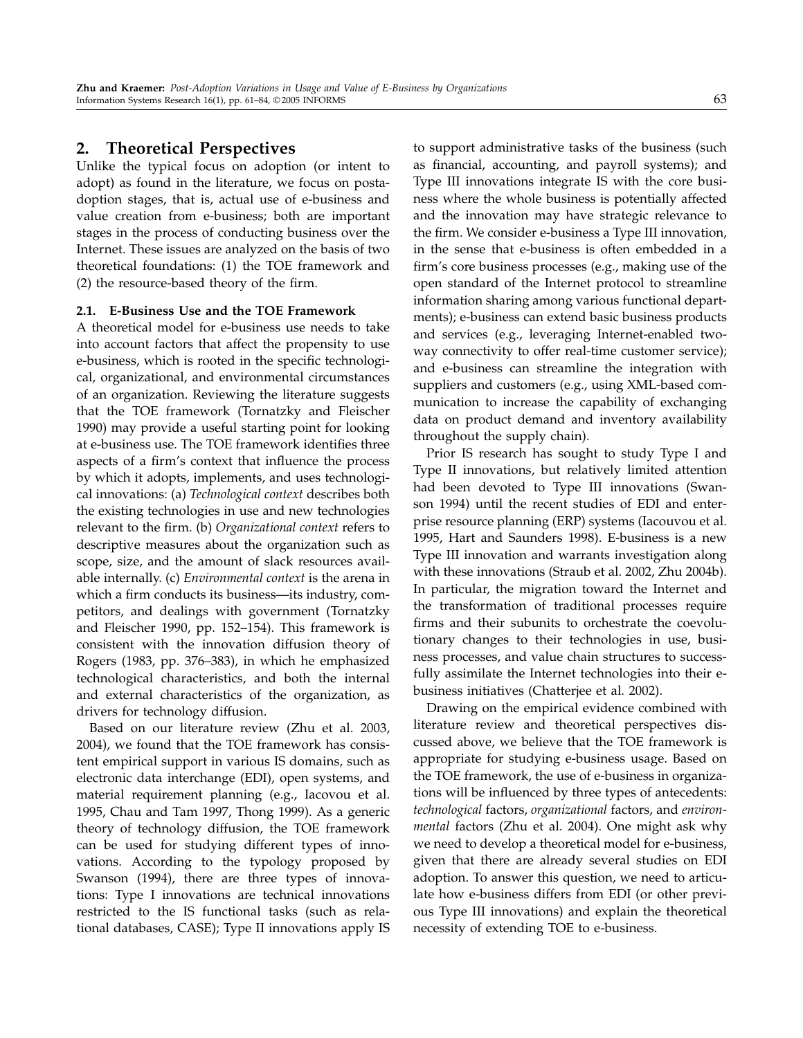# 2. Theoretical Perspectives

Unlike the typical focus on adoption (or intent to adopt) as found in the literature, we focus on postadoption stages, that is, actual use of e-business and value creation from e-business; both are important stages in the process of conducting business over the Internet. These issues are analyzed on the basis of two theoretical foundations: (1) the TOE framework and (2) the resource-based theory of the firm.

#### 2.1. E-Business Use and the TOE Framework

A theoretical model for e-business use needs to take into account factors that affect the propensity to use e-business, which is rooted in the specific technological, organizational, and environmental circumstances of an organization. Reviewing the literature suggests that the TOE framework (Tornatzky and Fleischer 1990) may provide a useful starting point for looking at e-business use. The TOE framework identifies three aspects of a firm's context that influence the process by which it adopts, implements, and uses technological innovations: (a) Technological context describes both the existing technologies in use and new technologies relevant to the firm. (b) Organizational context refers to descriptive measures about the organization such as scope, size, and the amount of slack resources available internally. (c) Environmental context is the arena in which a firm conducts its business—its industry, competitors, and dealings with government (Tornatzky and Fleischer 1990, pp. 152–154). This framework is consistent with the innovation diffusion theory of Rogers (1983, pp. 376–383), in which he emphasized technological characteristics, and both the internal and external characteristics of the organization, as drivers for technology diffusion.

Based on our literature review (Zhu et al. 2003, 2004), we found that the TOE framework has consistent empirical support in various IS domains, such as electronic data interchange (EDI), open systems, and material requirement planning (e.g., Iacovou et al. 1995, Chau and Tam 1997, Thong 1999). As a generic theory of technology diffusion, the TOE framework can be used for studying different types of innovations. According to the typology proposed by Swanson (1994), there are three types of innovations: Type I innovations are technical innovations restricted to the IS functional tasks (such as relational databases, CASE); Type II innovations apply IS

to support administrative tasks of the business (such as financial, accounting, and payroll systems); and Type III innovations integrate IS with the core business where the whole business is potentially affected and the innovation may have strategic relevance to the firm. We consider e-business a Type III innovation, in the sense that e-business is often embedded in a firm's core business processes (e.g., making use of the open standard of the Internet protocol to streamline information sharing among various functional departments); e-business can extend basic business products and services (e.g., leveraging Internet-enabled twoway connectivity to offer real-time customer service); and e-business can streamline the integration with suppliers and customers (e.g., using XML-based communication to increase the capability of exchanging data on product demand and inventory availability throughout the supply chain).

Prior IS research has sought to study Type I and Type II innovations, but relatively limited attention had been devoted to Type III innovations (Swanson 1994) until the recent studies of EDI and enterprise resource planning (ERP) systems (Iacouvou et al. 1995, Hart and Saunders 1998). E-business is a new Type III innovation and warrants investigation along with these innovations (Straub et al. 2002, Zhu 2004b). In particular, the migration toward the Internet and the transformation of traditional processes require firms and their subunits to orchestrate the coevolutionary changes to their technologies in use, business processes, and value chain structures to successfully assimilate the Internet technologies into their ebusiness initiatives (Chatterjee et al. 2002).

Drawing on the empirical evidence combined with literature review and theoretical perspectives discussed above, we believe that the TOE framework is appropriate for studying e-business usage. Based on the TOE framework, the use of e-business in organizations will be influenced by three types of antecedents: technological factors, organizational factors, and environmental factors (Zhu et al. 2004). One might ask why we need to develop a theoretical model for e-business, given that there are already several studies on EDI adoption. To answer this question, we need to articulate how e-business differs from EDI (or other previous Type III innovations) and explain the theoretical necessity of extending TOE to e-business.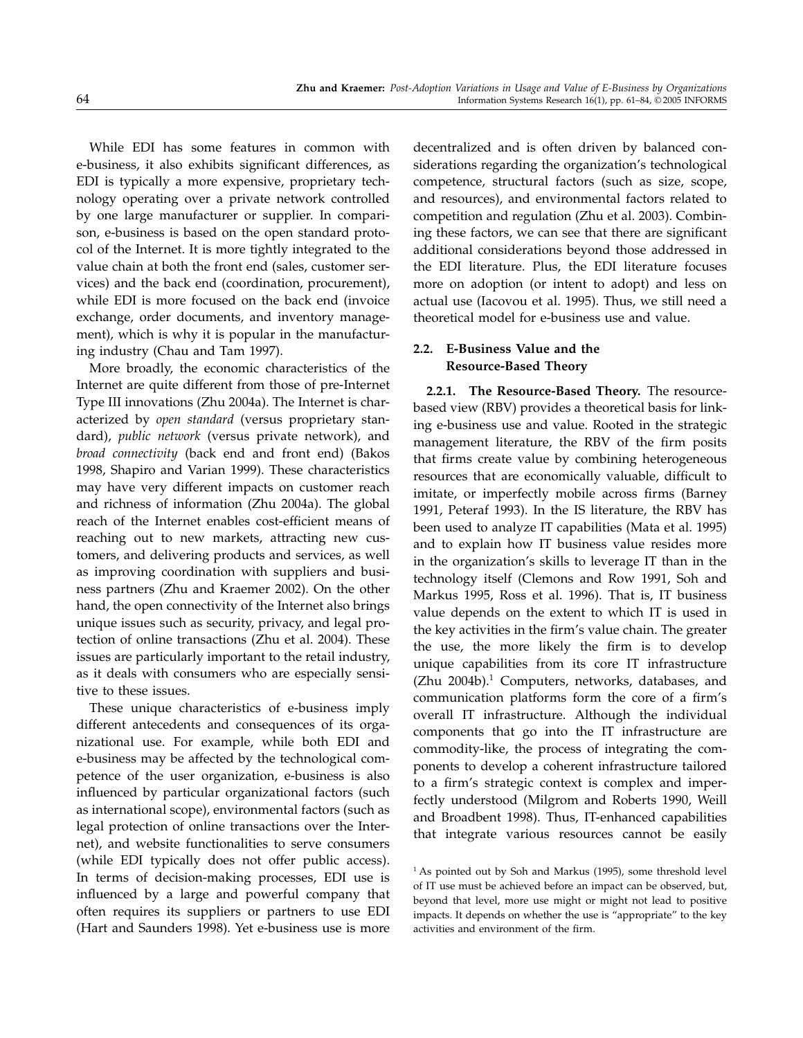While EDI has some features in common with e-business, it also exhibits significant differences, as EDI is typically a more expensive, proprietary technology operating over a private network controlled by one large manufacturer or supplier. In comparison, e-business is based on the open standard protocol of the Internet. It is more tightly integrated to the value chain at both the front end (sales, customer services) and the back end (coordination, procurement), while EDI is more focused on the back end (invoice exchange, order documents, and inventory management), which is why it is popular in the manufacturing industry (Chau and Tam 1997).

More broadly, the economic characteristics of the Internet are quite different from those of pre-Internet Type III innovations (Zhu 2004a). The Internet is characterized by open standard (versus proprietary standard), public network (versus private network), and broad connectivity (back end and front end) (Bakos 1998, Shapiro and Varian 1999). These characteristics may have very different impacts on customer reach and richness of information (Zhu 2004a). The global reach of the Internet enables cost-efficient means of reaching out to new markets, attracting new customers, and delivering products and services, as well as improving coordination with suppliers and business partners (Zhu and Kraemer 2002). On the other hand, the open connectivity of the Internet also brings unique issues such as security, privacy, and legal protection of online transactions (Zhu et al. 2004). These issues are particularly important to the retail industry, as it deals with consumers who are especially sensitive to these issues.

These unique characteristics of e-business imply different antecedents and consequences of its organizational use. For example, while both EDI and e-business may be affected by the technological competence of the user organization, e-business is also influenced by particular organizational factors (such as international scope), environmental factors (such as legal protection of online transactions over the Internet), and website functionalities to serve consumers (while EDI typically does not offer public access). In terms of decision-making processes, EDI use is influenced by a large and powerful company that often requires its suppliers or partners to use EDI (Hart and Saunders 1998). Yet e-business use is more

decentralized and is often driven by balanced considerations regarding the organization's technological competence, structural factors (such as size, scope, and resources), and environmental factors related to competition and regulation (Zhu et al. 2003). Combining these factors, we can see that there are significant additional considerations beyond those addressed in the EDI literature. Plus, the EDI literature focuses more on adoption (or intent to adopt) and less on actual use (Iacovou et al. 1995). Thus, we still need a theoretical model for e-business use and value.

# 2.2. E-Business Value and the Resource-Based Theory

2.2.1. The Resource-Based Theory. The resourcebased view (RBV) provides a theoretical basis for linking e-business use and value. Rooted in the strategic management literature, the RBV of the firm posits that firms create value by combining heterogeneous resources that are economically valuable, difficult to imitate, or imperfectly mobile across firms (Barney 1991, Peteraf 1993). In the IS literature, the RBV has been used to analyze IT capabilities (Mata et al. 1995) and to explain how IT business value resides more in the organization's skills to leverage IT than in the technology itself (Clemons and Row 1991, Soh and Markus 1995, Ross et al. 1996). That is, IT business value depends on the extent to which IT is used in the key activities in the firm's value chain. The greater the use, the more likely the firm is to develop unique capabilities from its core IT infrastructure (Zhu 2004b). $1$  Computers, networks, databases, and communication platforms form the core of a firm's overall IT infrastructure. Although the individual components that go into the IT infrastructure are commodity-like, the process of integrating the components to develop a coherent infrastructure tailored to a firm's strategic context is complex and imperfectly understood (Milgrom and Roberts 1990, Weill and Broadbent 1998). Thus, IT-enhanced capabilities that integrate various resources cannot be easily

<sup>&</sup>lt;sup>1</sup> As pointed out by Soh and Markus (1995), some threshold level of IT use must be achieved before an impact can be observed, but, beyond that level, more use might or might not lead to positive impacts. It depends on whether the use is "appropriate" to the key activities and environment of the firm.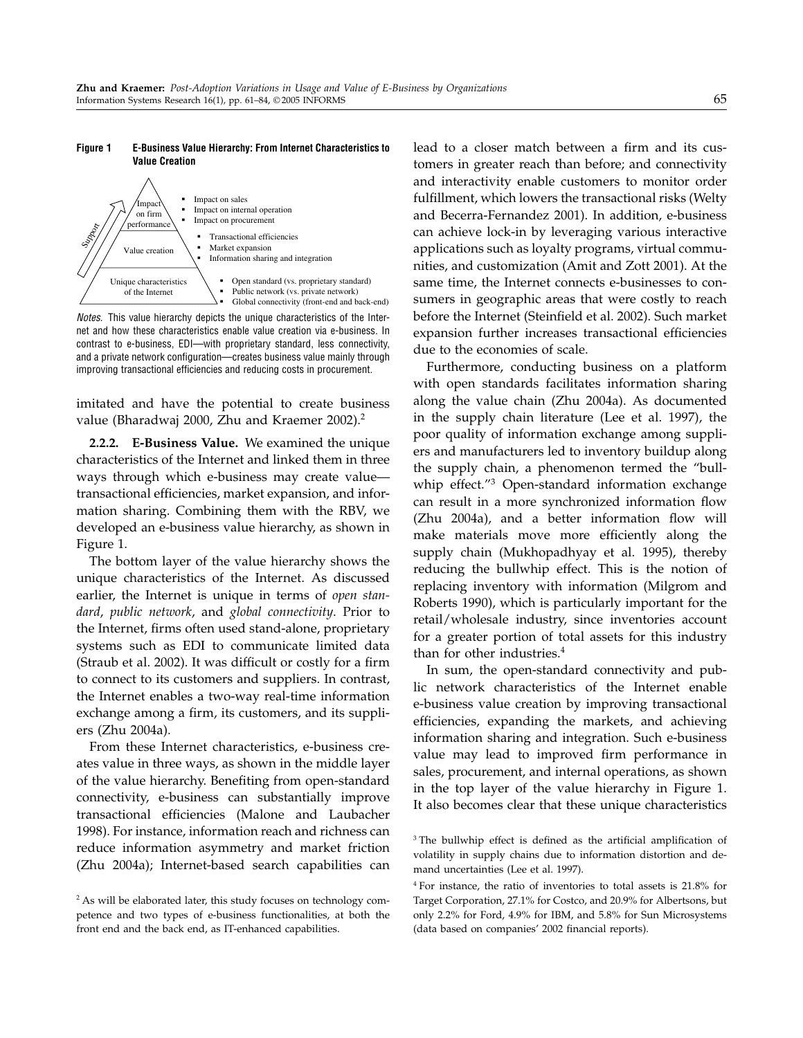

#### Figure 1 E-Business Value Hierarchy: From Internet Characteristics to Value Creation

Notes. This value hierarchy depicts the unique characteristics of the Internet and how these characteristics enable value creation via e-business. In contrast to e-business, EDI—with proprietary standard, less connectivity, and a private network configuration—creates business value mainly through improving transactional efficiencies and reducing costs in procurement.

imitated and have the potential to create business value (Bharadwaj 2000, Zhu and Kraemer 2002).<sup>2</sup>

2.2.2. E-Business Value. We examined the unique characteristics of the Internet and linked them in three ways through which e-business may create value transactional efficiencies, market expansion, and information sharing. Combining them with the RBV, we developed an e-business value hierarchy, as shown in Figure 1.

The bottom layer of the value hierarchy shows the unique characteristics of the Internet. As discussed earlier, the Internet is unique in terms of open standard, public network, and global connectivity. Prior to the Internet, firms often used stand-alone, proprietary systems such as EDI to communicate limited data (Straub et al. 2002). It was difficult or costly for a firm to connect to its customers and suppliers. In contrast, the Internet enables a two-way real-time information exchange among a firm, its customers, and its suppliers (Zhu 2004a).

From these Internet characteristics, e-business creates value in three ways, as shown in the middle layer of the value hierarchy. Benefiting from open-standard connectivity, e-business can substantially improve transactional efficiencies (Malone and Laubacher 1998). For instance, information reach and richness can reduce information asymmetry and market friction (Zhu 2004a); Internet-based search capabilities can

lead to a closer match between a firm and its customers in greater reach than before; and connectivity and interactivity enable customers to monitor order fulfillment, which lowers the transactional risks (Welty and Becerra-Fernandez 2001). In addition, e-business can achieve lock-in by leveraging various interactive applications such as loyalty programs, virtual communities, and customization (Amit and Zott 2001). At the same time, the Internet connects e-businesses to consumers in geographic areas that were costly to reach before the Internet (Steinfield et al. 2002). Such market expansion further increases transactional efficiencies due to the economies of scale.

Furthermore, conducting business on a platform with open standards facilitates information sharing along the value chain (Zhu 2004a). As documented in the supply chain literature (Lee et al. 1997), the poor quality of information exchange among suppliers and manufacturers led to inventory buildup along the supply chain, a phenomenon termed the "bullwhip effect."<sup>3</sup> Open-standard information exchange can result in a more synchronized information flow (Zhu 2004a), and a better information flow will make materials move more efficiently along the supply chain (Mukhopadhyay et al. 1995), thereby reducing the bullwhip effect. This is the notion of replacing inventory with information (Milgrom and Roberts 1990), which is particularly important for the retail/wholesale industry, since inventories account for a greater portion of total assets for this industry than for other industries.<sup>4</sup>

In sum, the open-standard connectivity and public network characteristics of the Internet enable e-business value creation by improving transactional efficiencies, expanding the markets, and achieving information sharing and integration. Such e-business value may lead to improved firm performance in sales, procurement, and internal operations, as shown in the top layer of the value hierarchy in Figure 1. It also becomes clear that these unique characteristics

<sup>&</sup>lt;sup>2</sup> As will be elaborated later, this study focuses on technology competence and two types of e-business functionalities, at both the front end and the back end, as IT-enhanced capabilities.

<sup>&</sup>lt;sup>3</sup> The bullwhip effect is defined as the artificial amplification of volatility in supply chains due to information distortion and demand uncertainties (Lee et al. 1997).

<sup>4</sup> For instance, the ratio of inventories to total assets is 21.8% for Target Corporation, 27.1% for Costco, and 20.9% for Albertsons, but only 2.2% for Ford, 4.9% for IBM, and 5.8% for Sun Microsystems (data based on companies' 2002 financial reports).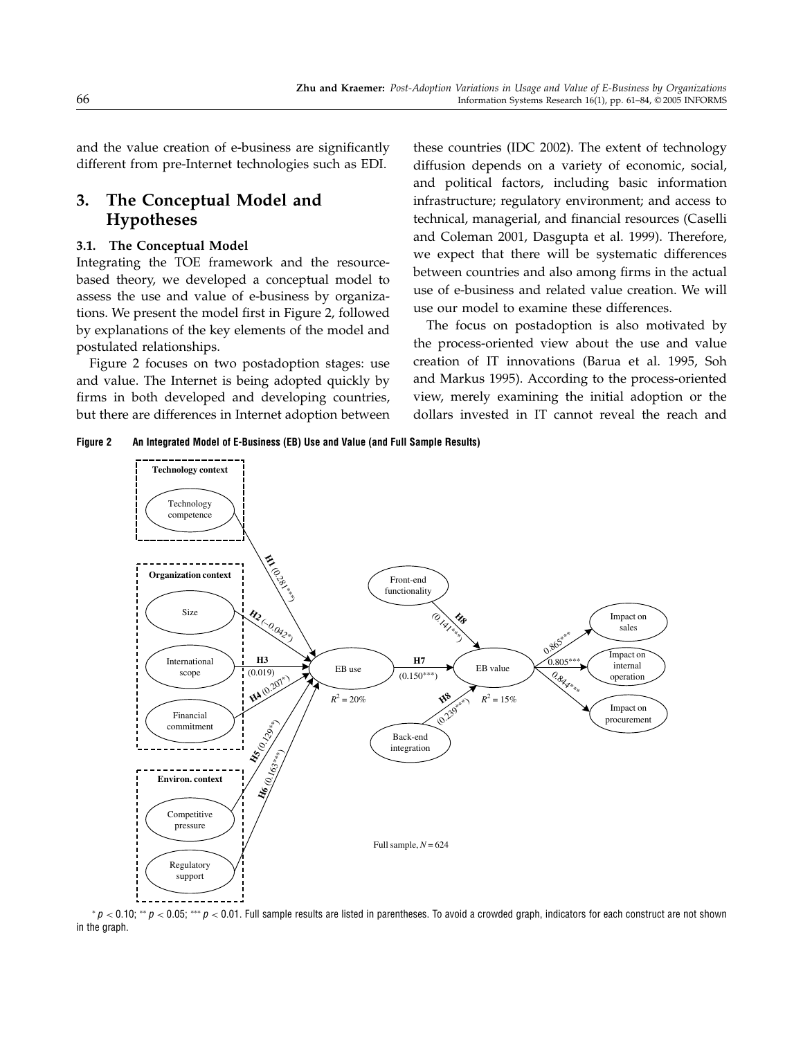and the value creation of e-business are significantly different from pre-Internet technologies such as EDI.

# 3. The Conceptual Model and Hypotheses

#### 3.1. The Conceptual Model

Integrating the TOE framework and the resourcebased theory, we developed a conceptual model to assess the use and value of e-business by organizations. We present the model first in Figure 2, followed by explanations of the key elements of the model and postulated relationships.

Figure 2 focuses on two postadoption stages: use and value. The Internet is being adopted quickly by firms in both developed and developing countries, but there are differences in Internet adoption between

these countries (IDC 2002). The extent of technology diffusion depends on a variety of economic, social, and political factors, including basic information infrastructure; regulatory environment; and access to technical, managerial, and financial resources (Caselli and Coleman 2001, Dasgupta et al. 1999). Therefore, we expect that there will be systematic differences between countries and also among firms in the actual use of e-business and related value creation. We will use our model to examine these differences.

The focus on postadoption is also motivated by the process-oriented view about the use and value creation of IT innovations (Barua et al. 1995, Soh and Markus 1995). According to the process-oriented view, merely examining the initial adoption or the dollars invested in IT cannot reveal the reach and

Figure 2 An Integrated Model of E-Business (EB)Use and Value (and Full Sample Results)



 $* p < 0.10; ** p < 0.05; *** p < 0.01$ . Full sample results are listed in parentheses. To avoid a crowded graph, indicators for each construct are not shown in the graph.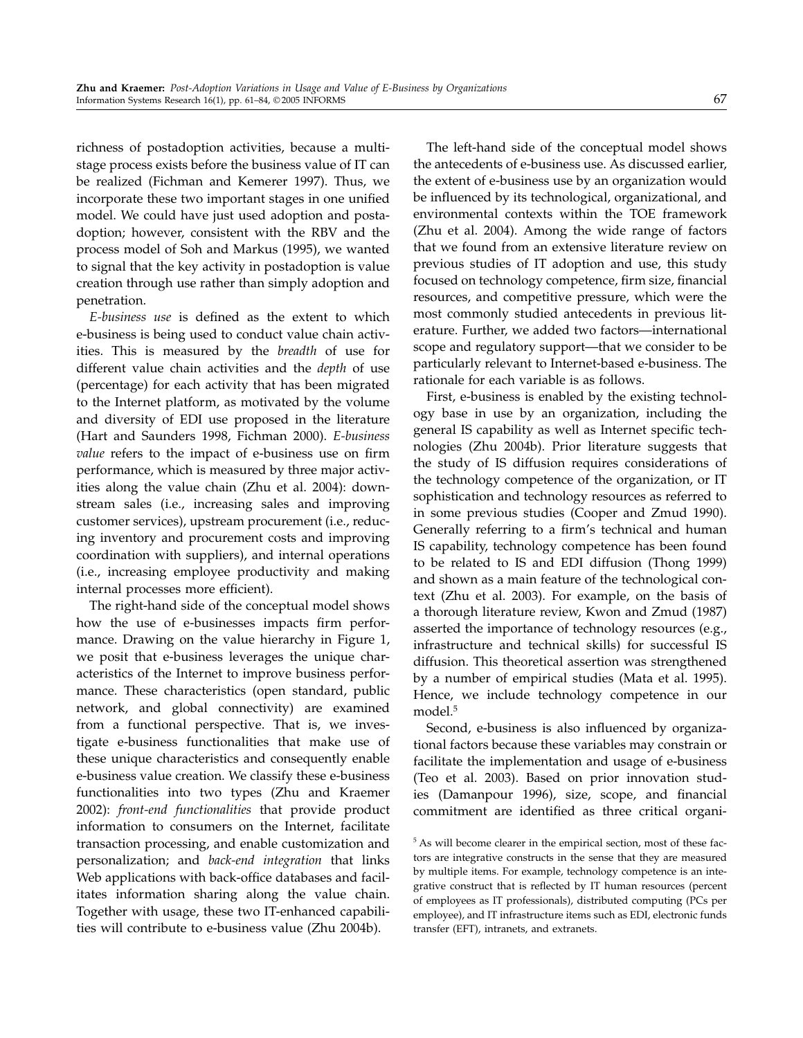richness of postadoption activities, because a multistage process exists before the business value of IT can be realized (Fichman and Kemerer 1997). Thus, we incorporate these two important stages in one unified model. We could have just used adoption and postadoption; however, consistent with the RBV and the process model of Soh and Markus (1995), we wanted to signal that the key activity in postadoption is value creation through use rather than simply adoption and penetration.

E-business use is defined as the extent to which e-business is being used to conduct value chain activities. This is measured by the breadth of use for different value chain activities and the depth of use (percentage) for each activity that has been migrated to the Internet platform, as motivated by the volume and diversity of EDI use proposed in the literature (Hart and Saunders 1998, Fichman 2000). E-business value refers to the impact of e-business use on firm performance, which is measured by three major activities along the value chain (Zhu et al. 2004): downstream sales (i.e., increasing sales and improving customer services), upstream procurement (i.e., reducing inventory and procurement costs and improving coordination with suppliers), and internal operations (i.e., increasing employee productivity and making internal processes more efficient).

The right-hand side of the conceptual model shows how the use of e-businesses impacts firm performance. Drawing on the value hierarchy in Figure 1, we posit that e-business leverages the unique characteristics of the Internet to improve business performance. These characteristics (open standard, public network, and global connectivity) are examined from a functional perspective. That is, we investigate e-business functionalities that make use of these unique characteristics and consequently enable e-business value creation. We classify these e-business functionalities into two types (Zhu and Kraemer 2002): front-end functionalities that provide product information to consumers on the Internet, facilitate transaction processing, and enable customization and personalization; and back-end integration that links Web applications with back-office databases and facilitates information sharing along the value chain. Together with usage, these two IT-enhanced capabilities will contribute to e-business value (Zhu 2004b).

The left-hand side of the conceptual model shows the antecedents of e-business use. As discussed earlier, the extent of e-business use by an organization would be influenced by its technological, organizational, and environmental contexts within the TOE framework (Zhu et al. 2004). Among the wide range of factors that we found from an extensive literature review on previous studies of IT adoption and use, this study focused on technology competence, firm size, financial resources, and competitive pressure, which were the most commonly studied antecedents in previous literature. Further, we added two factors—international scope and regulatory support—that we consider to be particularly relevant to Internet-based e-business. The rationale for each variable is as follows.

First, e-business is enabled by the existing technology base in use by an organization, including the general IS capability as well as Internet specific technologies (Zhu 2004b). Prior literature suggests that the study of IS diffusion requires considerations of the technology competence of the organization, or IT sophistication and technology resources as referred to in some previous studies (Cooper and Zmud 1990). Generally referring to a firm's technical and human IS capability, technology competence has been found to be related to IS and EDI diffusion (Thong 1999) and shown as a main feature of the technological context (Zhu et al. 2003). For example, on the basis of a thorough literature review, Kwon and Zmud (1987) asserted the importance of technology resources (e.g., infrastructure and technical skills) for successful IS diffusion. This theoretical assertion was strengthened by a number of empirical studies (Mata et al. 1995). Hence, we include technology competence in our model.<sup>5</sup>

Second, e-business is also influenced by organizational factors because these variables may constrain or facilitate the implementation and usage of e-business (Teo et al. 2003). Based on prior innovation studies (Damanpour 1996), size, scope, and financial commitment are identified as three critical organi-

<sup>5</sup> As will become clearer in the empirical section, most of these factors are integrative constructs in the sense that they are measured by multiple items. For example, technology competence is an integrative construct that is reflected by IT human resources (percent of employees as IT professionals), distributed computing (PCs per employee), and IT infrastructure items such as EDI, electronic funds transfer (EFT), intranets, and extranets.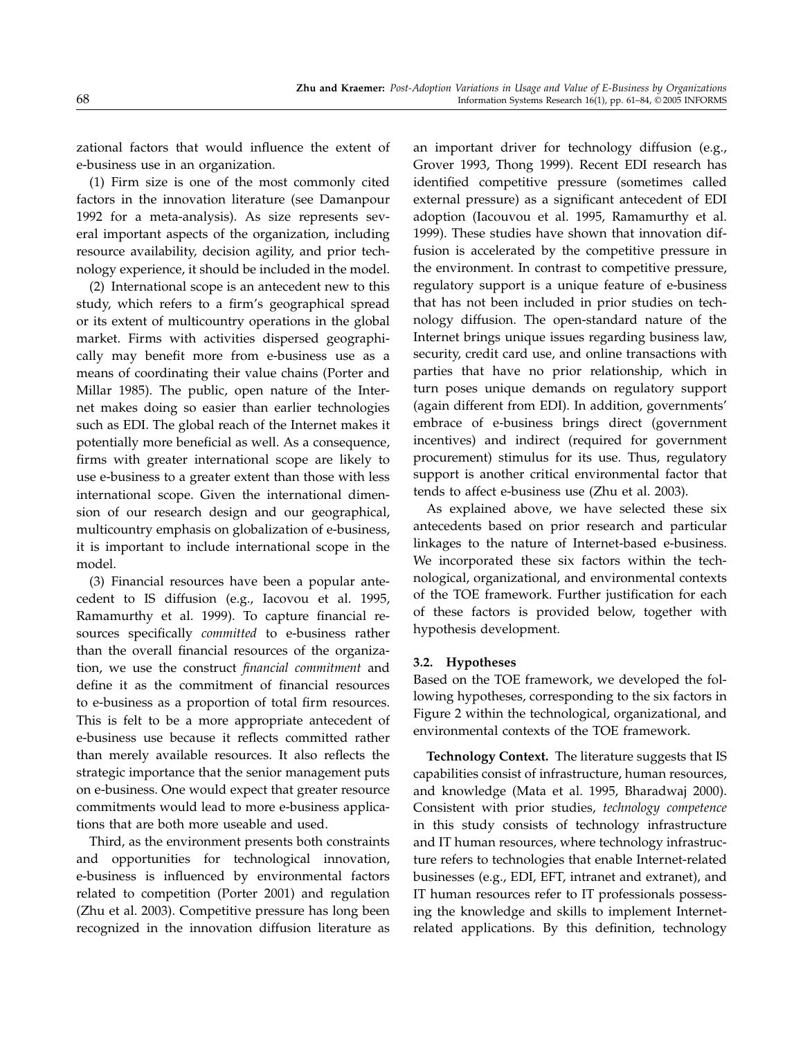zational factors that would influence the extent of e-business use in an organization.

(1) Firm size is one of the most commonly cited factors in the innovation literature (see Damanpour 1992 for a meta-analysis). As size represents several important aspects of the organization, including resource availability, decision agility, and prior technology experience, it should be included in the model.

(2) International scope is an antecedent new to this study, which refers to a firm's geographical spread or its extent of multicountry operations in the global market. Firms with activities dispersed geographically may benefit more from e-business use as a means of coordinating their value chains (Porter and Millar 1985). The public, open nature of the Internet makes doing so easier than earlier technologies such as EDI. The global reach of the Internet makes it potentially more beneficial as well. As a consequence, firms with greater international scope are likely to use e-business to a greater extent than those with less international scope. Given the international dimension of our research design and our geographical, multicountry emphasis on globalization of e-business, it is important to include international scope in the model.

(3) Financial resources have been a popular antecedent to IS diffusion (e.g., Iacovou et al. 1995, Ramamurthy et al. 1999). To capture financial resources specifically committed to e-business rather than the overall financial resources of the organization, we use the construct financial commitment and define it as the commitment of financial resources to e-business as a proportion of total firm resources. This is felt to be a more appropriate antecedent of e-business use because it reflects committed rather than merely available resources. It also reflects the strategic importance that the senior management puts on e-business. One would expect that greater resource commitments would lead to more e-business applications that are both more useable and used.

Third, as the environment presents both constraints and opportunities for technological innovation, e-business is influenced by environmental factors related to competition (Porter 2001) and regulation (Zhu et al. 2003). Competitive pressure has long been recognized in the innovation diffusion literature as

an important driver for technology diffusion (e.g., Grover 1993, Thong 1999). Recent EDI research has identified competitive pressure (sometimes called external pressure) as a significant antecedent of EDI adoption (Iacouvou et al. 1995, Ramamurthy et al. 1999). These studies have shown that innovation diffusion is accelerated by the competitive pressure in the environment. In contrast to competitive pressure, regulatory support is a unique feature of e-business that has not been included in prior studies on technology diffusion. The open-standard nature of the Internet brings unique issues regarding business law, security, credit card use, and online transactions with parties that have no prior relationship, which in turn poses unique demands on regulatory support (again different from EDI). In addition, governments' embrace of e-business brings direct (government incentives) and indirect (required for government procurement) stimulus for its use. Thus, regulatory support is another critical environmental factor that tends to affect e-business use (Zhu et al. 2003).

As explained above, we have selected these six antecedents based on prior research and particular linkages to the nature of Internet-based e-business. We incorporated these six factors within the technological, organizational, and environmental contexts of the TOE framework. Further justification for each of these factors is provided below, together with hypothesis development.

#### 3.2. Hypotheses

Based on the TOE framework, we developed the following hypotheses, corresponding to the six factors in Figure 2 within the technological, organizational, and environmental contexts of the TOE framework.

Technology Context. The literature suggests that IS capabilities consist of infrastructure, human resources, and knowledge (Mata et al. 1995, Bharadwaj 2000). Consistent with prior studies, technology competence in this study consists of technology infrastructure and IT human resources, where technology infrastructure refers to technologies that enable Internet-related businesses (e.g., EDI, EFT, intranet and extranet), and IT human resources refer to IT professionals possessing the knowledge and skills to implement Internetrelated applications. By this definition, technology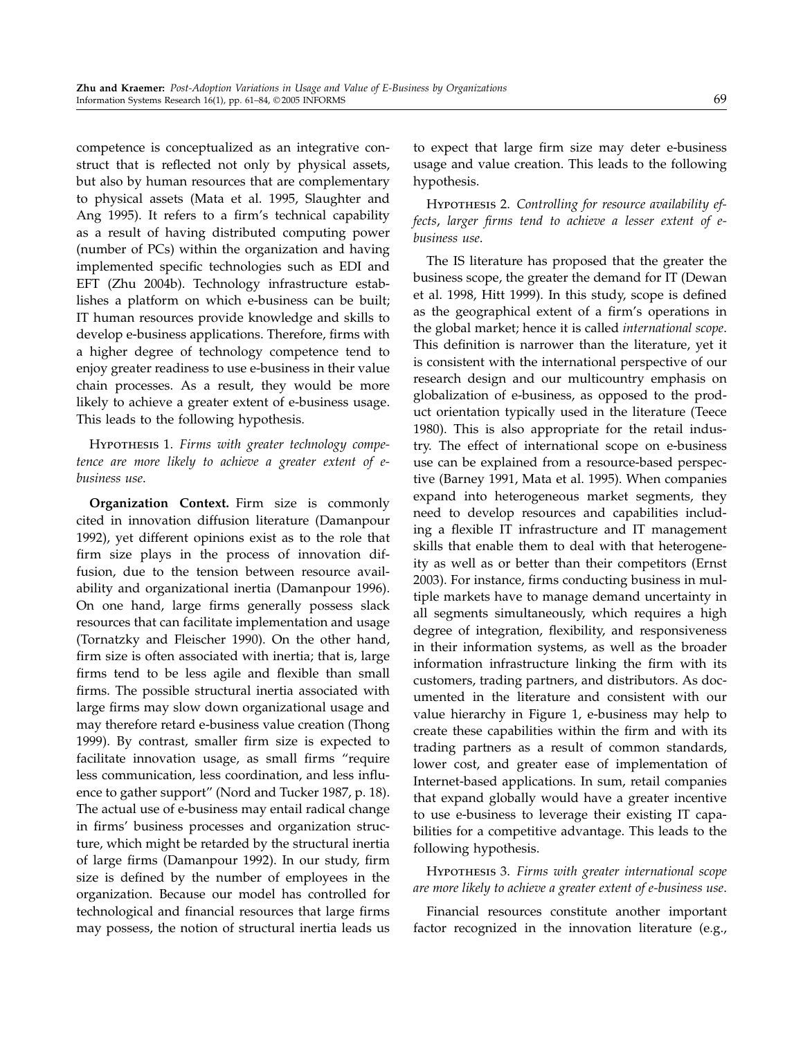competence is conceptualized as an integrative construct that is reflected not only by physical assets, but also by human resources that are complementary to physical assets (Mata et al. 1995, Slaughter and Ang 1995). It refers to a firm's technical capability as a result of having distributed computing power (number of PCs) within the organization and having implemented specific technologies such as EDI and EFT (Zhu 2004b). Technology infrastructure establishes a platform on which e-business can be built; IT human resources provide knowledge and skills to develop e-business applications. Therefore, firms with a higher degree of technology competence tend to enjoy greater readiness to use e-business in their value chain processes. As a result, they would be more likely to achieve a greater extent of e-business usage. This leads to the following hypothesis.

HYPOTHESIS 1. Firms with greater technology competence are more likely to achieve a greater extent of ebusiness use.

Organization Context. Firm size is commonly cited in innovation diffusion literature (Damanpour 1992), yet different opinions exist as to the role that firm size plays in the process of innovation diffusion, due to the tension between resource availability and organizational inertia (Damanpour 1996). On one hand, large firms generally possess slack resources that can facilitate implementation and usage (Tornatzky and Fleischer 1990). On the other hand, firm size is often associated with inertia; that is, large firms tend to be less agile and flexible than small firms. The possible structural inertia associated with large firms may slow down organizational usage and may therefore retard e-business value creation (Thong 1999). By contrast, smaller firm size is expected to facilitate innovation usage, as small firms "require less communication, less coordination, and less influence to gather support" (Nord and Tucker 1987, p. 18). The actual use of e-business may entail radical change in firms' business processes and organization structure, which might be retarded by the structural inertia of large firms (Damanpour 1992). In our study, firm size is defined by the number of employees in the organization. Because our model has controlled for technological and financial resources that large firms may possess, the notion of structural inertia leads us

to expect that large firm size may deter e-business usage and value creation. This leads to the following hypothesis.

HYPOTHESIS 2. Controlling for resource availability effects, larger firms tend to achieve a lesser extent of ebusiness use.

The IS literature has proposed that the greater the business scope, the greater the demand for IT (Dewan et al. 1998, Hitt 1999). In this study, scope is defined as the geographical extent of a firm's operations in the global market; hence it is called international scope. This definition is narrower than the literature, yet it is consistent with the international perspective of our research design and our multicountry emphasis on globalization of e-business, as opposed to the product orientation typically used in the literature (Teece 1980). This is also appropriate for the retail industry. The effect of international scope on e-business use can be explained from a resource-based perspective (Barney 1991, Mata et al. 1995). When companies expand into heterogeneous market segments, they need to develop resources and capabilities including a flexible IT infrastructure and IT management skills that enable them to deal with that heterogeneity as well as or better than their competitors (Ernst 2003). For instance, firms conducting business in multiple markets have to manage demand uncertainty in all segments simultaneously, which requires a high degree of integration, flexibility, and responsiveness in their information systems, as well as the broader information infrastructure linking the firm with its customers, trading partners, and distributors. As documented in the literature and consistent with our value hierarchy in Figure 1, e-business may help to create these capabilities within the firm and with its trading partners as a result of common standards, lower cost, and greater ease of implementation of Internet-based applications. In sum, retail companies that expand globally would have a greater incentive to use e-business to leverage their existing IT capabilities for a competitive advantage. This leads to the following hypothesis.

HYPOTHESIS 3. Firms with greater international scope are more likely to achieve a greater extent of e-business use.

Financial resources constitute another important factor recognized in the innovation literature (e.g.,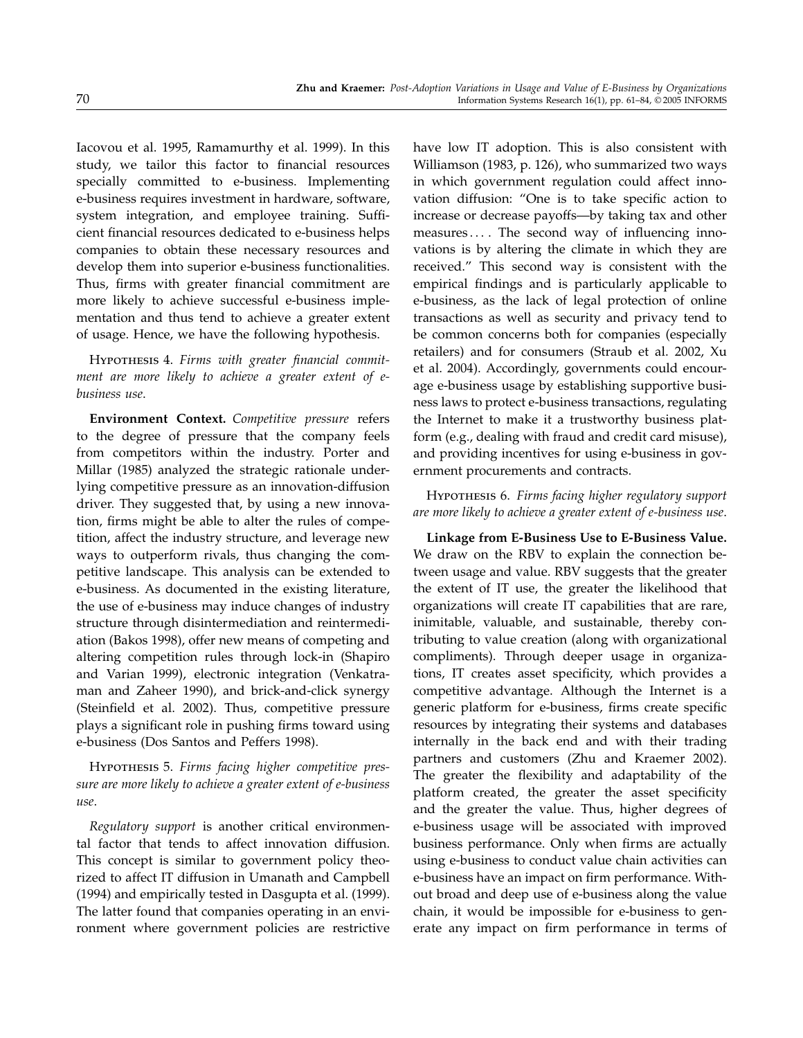Iacovou et al. 1995, Ramamurthy et al. 1999). In this study, we tailor this factor to financial resources specially committed to e-business. Implementing e-business requires investment in hardware, software, system integration, and employee training. Sufficient financial resources dedicated to e-business helps companies to obtain these necessary resources and develop them into superior e-business functionalities. Thus, firms with greater financial commitment are more likely to achieve successful e-business implementation and thus tend to achieve a greater extent of usage. Hence, we have the following hypothesis.

HYPOTHESIS 4. Firms with greater financial commitment are more likely to achieve a greater extent of ebusiness use.

Environment Context. Competitive pressure refers to the degree of pressure that the company feels from competitors within the industry. Porter and Millar (1985) analyzed the strategic rationale underlying competitive pressure as an innovation-diffusion driver. They suggested that, by using a new innovation, firms might be able to alter the rules of competition, affect the industry structure, and leverage new ways to outperform rivals, thus changing the competitive landscape. This analysis can be extended to e-business. As documented in the existing literature, the use of e-business may induce changes of industry structure through disintermediation and reintermediation (Bakos 1998), offer new means of competing and altering competition rules through lock-in (Shapiro and Varian 1999), electronic integration (Venkatraman and Zaheer 1990), and brick-and-click synergy (Steinfield et al. 2002). Thus, competitive pressure plays a significant role in pushing firms toward using e-business (Dos Santos and Peffers 1998).

Hypothesis 5. Firms facing higher competitive pressure are more likely to achieve a greater extent of e-business use.

Regulatory support is another critical environmental factor that tends to affect innovation diffusion. This concept is similar to government policy theorized to affect IT diffusion in Umanath and Campbell (1994) and empirically tested in Dasgupta et al. (1999). The latter found that companies operating in an environment where government policies are restrictive have low IT adoption. This is also consistent with Williamson (1983, p. 126), who summarized two ways in which government regulation could affect innovation diffusion: "One is to take specific action to increase or decrease payoffs—by taking tax and other measures ... The second way of influencing innovations is by altering the climate in which they are received." This second way is consistent with the empirical findings and is particularly applicable to e-business, as the lack of legal protection of online transactions as well as security and privacy tend to be common concerns both for companies (especially retailers) and for consumers (Straub et al. 2002, Xu et al. 2004). Accordingly, governments could encourage e-business usage by establishing supportive business laws to protect e-business transactions, regulating the Internet to make it a trustworthy business platform (e.g., dealing with fraud and credit card misuse), and providing incentives for using e-business in government procurements and contracts.

HYPOTHESIS 6. Firms facing higher regulatory support are more likely to achieve a greater extent of e-business use.

Linkage from E-Business Use to E-Business Value. We draw on the RBV to explain the connection between usage and value. RBV suggests that the greater the extent of IT use, the greater the likelihood that organizations will create IT capabilities that are rare, inimitable, valuable, and sustainable, thereby contributing to value creation (along with organizational compliments). Through deeper usage in organizations, IT creates asset specificity, which provides a competitive advantage. Although the Internet is a generic platform for e-business, firms create specific resources by integrating their systems and databases internally in the back end and with their trading partners and customers (Zhu and Kraemer 2002). The greater the flexibility and adaptability of the platform created, the greater the asset specificity and the greater the value. Thus, higher degrees of e-business usage will be associated with improved business performance. Only when firms are actually using e-business to conduct value chain activities can e-business have an impact on firm performance. Without broad and deep use of e-business along the value chain, it would be impossible for e-business to generate any impact on firm performance in terms of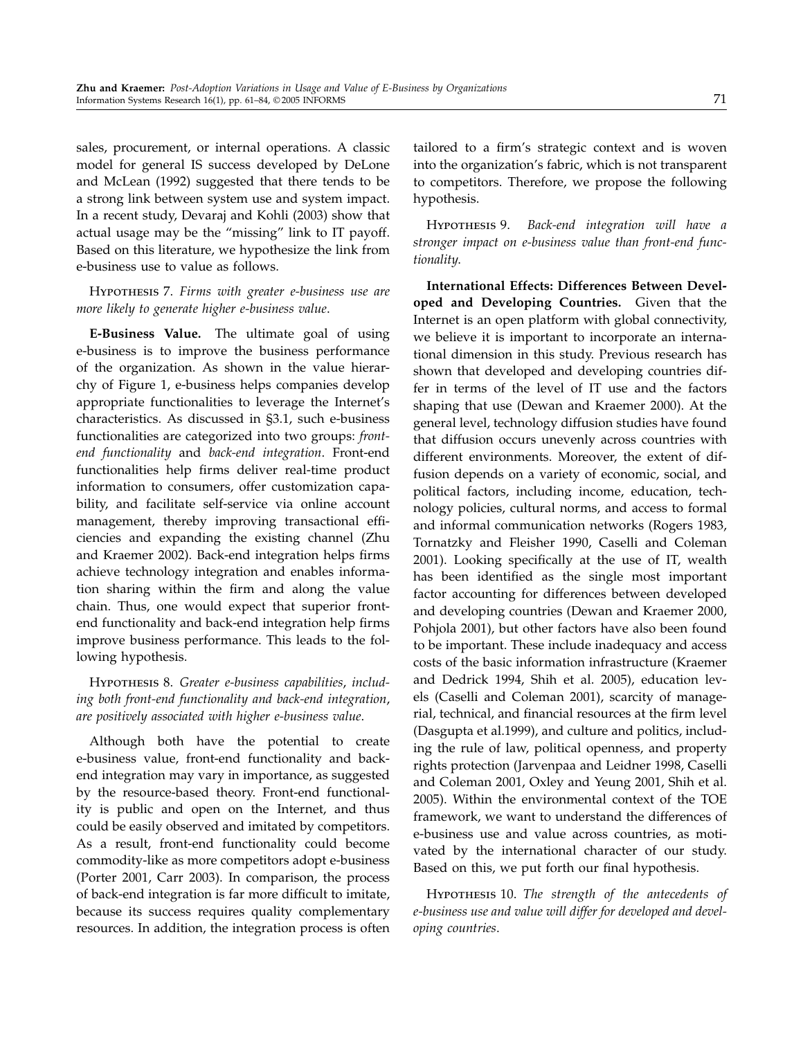sales, procurement, or internal operations. A classic model for general IS success developed by DeLone and McLean (1992) suggested that there tends to be a strong link between system use and system impact. In a recent study, Devaraj and Kohli (2003) show that actual usage may be the "missing" link to IT payoff. Based on this literature, we hypothesize the link from e-business use to value as follows.

HYPOTHESIS 7. Firms with greater e-business use are more likely to generate higher e-business value.

E-Business Value. The ultimate goal of using e-business is to improve the business performance of the organization. As shown in the value hierarchy of Figure 1, e-business helps companies develop appropriate functionalities to leverage the Internet's characteristics. As discussed in §3.1, such e-business functionalities are categorized into two groups: frontend functionality and back-end integration. Front-end functionalities help firms deliver real-time product information to consumers, offer customization capability, and facilitate self-service via online account management, thereby improving transactional efficiencies and expanding the existing channel (Zhu and Kraemer 2002). Back-end integration helps firms achieve technology integration and enables information sharing within the firm and along the value chain. Thus, one would expect that superior frontend functionality and back-end integration help firms improve business performance. This leads to the following hypothesis.

Hypothesis 8. Greater e-business capabilities, including both front-end functionality and back-end integration, are positively associated with higher e-business value.

Although both have the potential to create e-business value, front-end functionality and backend integration may vary in importance, as suggested by the resource-based theory. Front-end functionality is public and open on the Internet, and thus could be easily observed and imitated by competitors. As a result, front-end functionality could become commodity-like as more competitors adopt e-business (Porter 2001, Carr 2003). In comparison, the process of back-end integration is far more difficult to imitate, because its success requires quality complementary resources. In addition, the integration process is often

tailored to a firm's strategic context and is woven into the organization's fabric, which is not transparent to competitors. Therefore, we propose the following hypothesis.

Hypothesis 9. Back-end integration will have a stronger impact on e-business value than front-end functionality.

International Effects: Differences Between Developed and Developing Countries. Given that the Internet is an open platform with global connectivity, we believe it is important to incorporate an international dimension in this study. Previous research has shown that developed and developing countries differ in terms of the level of IT use and the factors shaping that use (Dewan and Kraemer 2000). At the general level, technology diffusion studies have found that diffusion occurs unevenly across countries with different environments. Moreover, the extent of diffusion depends on a variety of economic, social, and political factors, including income, education, technology policies, cultural norms, and access to formal and informal communication networks (Rogers 1983, Tornatzky and Fleisher 1990, Caselli and Coleman 2001). Looking specifically at the use of IT, wealth has been identified as the single most important factor accounting for differences between developed and developing countries (Dewan and Kraemer 2000, Pohjola 2001), but other factors have also been found to be important. These include inadequacy and access costs of the basic information infrastructure (Kraemer and Dedrick 1994, Shih et al. 2005), education levels (Caselli and Coleman 2001), scarcity of managerial, technical, and financial resources at the firm level (Dasgupta et al.1999), and culture and politics, including the rule of law, political openness, and property rights protection (Jarvenpaa and Leidner 1998, Caselli and Coleman 2001, Oxley and Yeung 2001, Shih et al. 2005). Within the environmental context of the TOE framework, we want to understand the differences of e-business use and value across countries, as motivated by the international character of our study. Based on this, we put forth our final hypothesis.

HYPOTHESIS 10. The strength of the antecedents of e-business use and value will differ for developed and developing countries.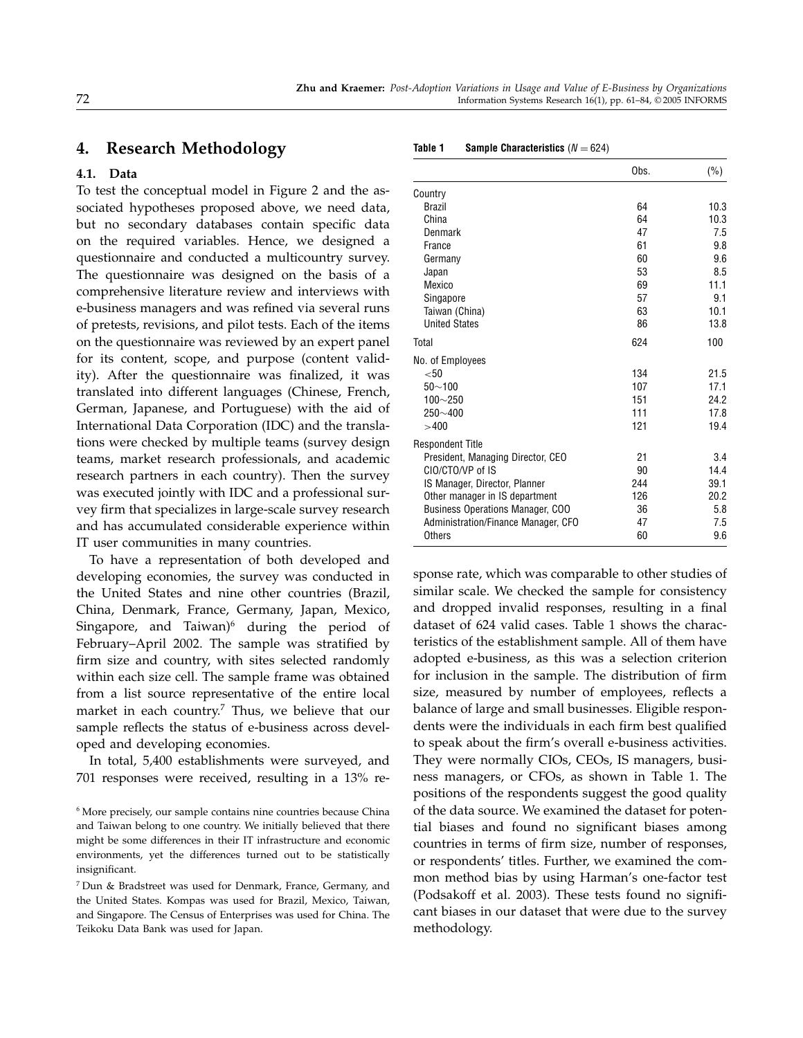# 4. Research Methodology

### 4.1. Data

To test the conceptual model in Figure 2 and the associated hypotheses proposed above, we need data, but no secondary databases contain specific data on the required variables. Hence, we designed a questionnaire and conducted a multicountry survey. The questionnaire was designed on the basis of a comprehensive literature review and interviews with e-business managers and was refined via several runs of pretests, revisions, and pilot tests. Each of the items on the questionnaire was reviewed by an expert panel for its content, scope, and purpose (content validity). After the questionnaire was finalized, it was translated into different languages (Chinese, French, German, Japanese, and Portuguese) with the aid of International Data Corporation (IDC) and the translations were checked by multiple teams (survey design teams, market research professionals, and academic research partners in each country). Then the survey was executed jointly with IDC and a professional survey firm that specializes in large-scale survey research and has accumulated considerable experience within IT user communities in many countries.

To have a representation of both developed and developing economies, the survey was conducted in the United States and nine other countries (Brazil, China, Denmark, France, Germany, Japan, Mexico, Singapore, and Taiwan) $6$  during the period of February–April 2002. The sample was stratified by firm size and country, with sites selected randomly within each size cell. The sample frame was obtained from a list source representative of the entire local market in each country.<sup>7</sup> Thus, we believe that our sample reflects the status of e-business across developed and developing economies.

In total, 5,400 establishments were surveyed, and 701 responses were received, resulting in a 13% re-

#### Table 1 Sample Characteristics  $(N = 624)$

|                                         | Obs. | (%)  |
|-----------------------------------------|------|------|
| Country                                 |      |      |
| <b>Brazil</b>                           | 64   | 10.3 |
| China                                   | 64   | 10.3 |
| Denmark                                 | 47   | 7.5  |
| France                                  | 61   | 9.8  |
| Germany                                 | 60   | 9.6  |
| Japan                                   | 53   | 8.5  |
| Mexico                                  | 69   | 11.1 |
| Singapore                               | 57   | 9.1  |
| Taiwan (China)                          | 63   | 10.1 |
| <b>United States</b>                    | 86   | 13.8 |
| Total                                   | 624  | 100  |
| No. of Employees                        |      |      |
| $50$                                    | 134  | 21.5 |
| $50 - 100$                              | 107  | 17.1 |
| $100 - 250$                             | 151  | 24.2 |
| $250 - 400$                             | 111  | 17.8 |
| >400                                    | 121  | 19.4 |
| <b>Respondent Title</b>                 |      |      |
| President, Managing Director, CEO       | 21   | 3.4  |
| CIO/CTO/VP of IS                        | 90   | 14.4 |
| IS Manager, Director, Planner           | 244  | 39.1 |
| Other manager in IS department          | 126  | 20.2 |
| <b>Business Operations Manager, COO</b> | 36   | 5.8  |
| Administration/Finance Manager, CFO     | 47   | 7.5  |
| Others                                  | 60   | 9.6  |

sponse rate, which was comparable to other studies of similar scale. We checked the sample for consistency and dropped invalid responses, resulting in a final dataset of 624 valid cases. Table 1 shows the characteristics of the establishment sample. All of them have adopted e-business, as this was a selection criterion for inclusion in the sample. The distribution of firm size, measured by number of employees, reflects a balance of large and small businesses. Eligible respondents were the individuals in each firm best qualified to speak about the firm's overall e-business activities. They were normally CIOs, CEOs, IS managers, business managers, or CFOs, as shown in Table 1. The positions of the respondents suggest the good quality of the data source. We examined the dataset for potential biases and found no significant biases among countries in terms of firm size, number of responses, or respondents' titles. Further, we examined the common method bias by using Harman's one-factor test (Podsakoff et al. 2003). These tests found no significant biases in our dataset that were due to the survey methodology.

<sup>&</sup>lt;sup>6</sup> More precisely, our sample contains nine countries because China and Taiwan belong to one country. We initially believed that there might be some differences in their IT infrastructure and economic environments, yet the differences turned out to be statistically insignificant.

<sup>7</sup> Dun & Bradstreet was used for Denmark, France, Germany, and the United States. Kompas was used for Brazil, Mexico, Taiwan, and Singapore. The Census of Enterprises was used for China. The Teikoku Data Bank was used for Japan.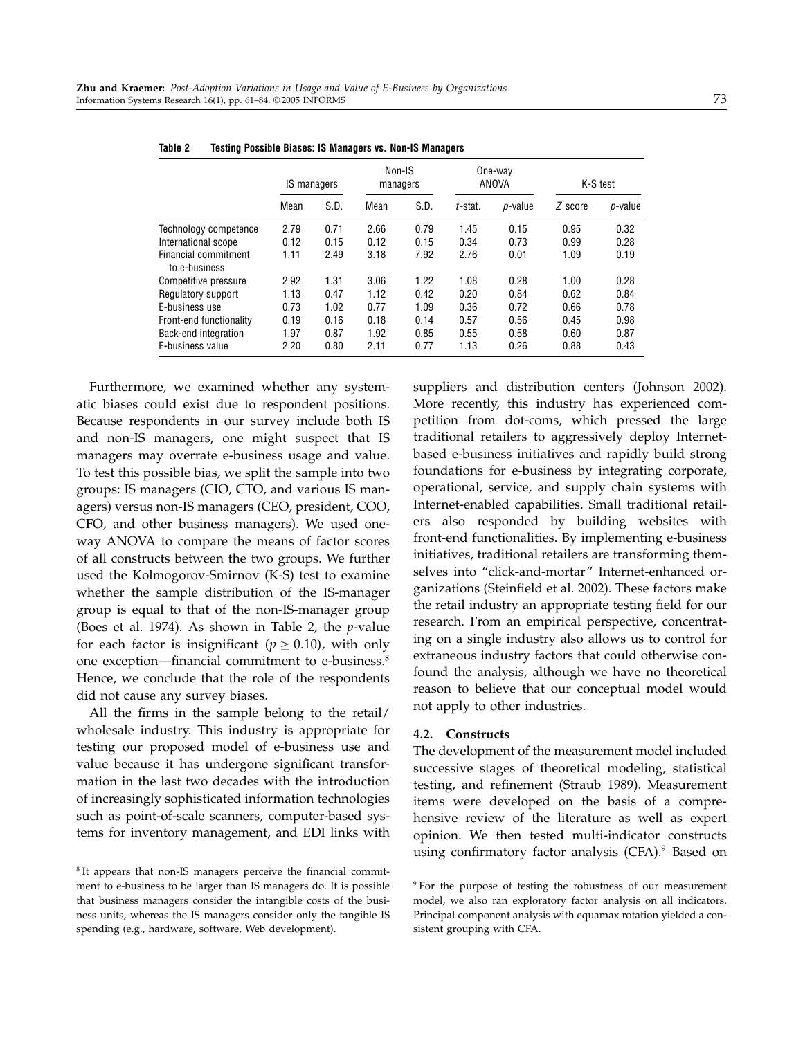|                                              | IS managers |      | Non-IS<br>managers |      |         | One-way<br>ANOVA | K-S test  |                 |
|----------------------------------------------|-------------|------|--------------------|------|---------|------------------|-----------|-----------------|
|                                              | Mean        | S.D. | Mean               | S.D. | t-stat. | <i>p</i> -value  | $Z$ score | <i>p</i> -value |
| Technology competence                        | 2.79        | 0.71 | 2.66               | 0.79 | 1.45    | 0.15             | 0.95      | 0.32            |
| International scope                          | 0.12        | 0.15 | 0.12               | 0.15 | 0.34    | 0.73             | 0.99      | 0.28            |
| <b>Financial commitment</b><br>to e-business | 1.11        | 2.49 | 3.18               | 7.92 | 2.76    | 0.01             | 1.09      | 0.19            |
| Competitive pressure                         | 2.92        | 1.31 | 3.06               | 1.22 | 1.08    | 0.28             | 1.00      | 0.28            |
| Regulatory support                           | 1.13        | 0.47 | 1.12               | 0.42 | 0.20    | 0.84             | 0.62      | 0.84            |
| E-business use                               | 0.73        | 1.02 | 0.77               | 1.09 | 0.36    | 0.72             | 0.66      | 0.78            |
| Front-end functionalitv                      | 0.19        | 0.16 | 0.18               | 0.14 | 0.57    | 0.56             | 0.45      | 0.98            |
| Back-end integration                         | 1.97        | 0.87 | 1.92               | 0.85 | 0.55    | 0.58             | 0.60      | 0.87            |
| E-business value                             | 2.20        | 0.80 | 2.11               | 0.77 | 1.13    | 0.26             | 0.88      | 0.43            |

| Table 2 |  | <b>Testing Possible Biases: IS Managers vs. Non-IS Managers</b> |  |
|---------|--|-----------------------------------------------------------------|--|
|---------|--|-----------------------------------------------------------------|--|

Furthermore, we examined whether any systematic biases could exist due to respondent positions. Because respondents in our survey include both IS and non-IS managers, one might suspect that IS managers may overrate e-business usage and value. To test this possible bias, we split the sample into two groups: IS managers (CIO, CTO, and various IS managers) versus non-IS managers (CEO, president, COO, CFO, and other business managers). We used oneway ANOVA to compare the means of factor scores of all constructs between the two groups. We further used the Kolmogorov-Smirnov (K-S) test to examine whether the sample distribution of the IS-manager group is equal to that of the non-IS-manager group (Boes et al. 1974). As shown in Table 2, the  $p$ -value for each factor is insignificant ( $p \ge 0.10$ ), with only one exception—financial commitment to e-business.<sup>8</sup> Hence, we conclude that the role of the respondents did not cause any survey biases.

All the firms in the sample belong to the retail/ wholesale industry. This industry is appropriate for testing our proposed model of e-business use and value because it has undergone significant transformation in the last two decades with the introduction of increasingly sophisticated information technologies such as point-of-scale scanners, computer-based systems for inventory management, and EDI links with

suppliers and distribution centers (Johnson 2002). More recently, this industry has experienced competition from dot-coms, which pressed the large traditional retailers to aggressively deploy Internetbased e-business initiatives and rapidly build strong foundations for e-business by integrating corporate, operational, service, and supply chain systems with Internet-enabled capabilities. Small traditional retailers also responded by building websites with front-end functionalities. By implementing e-business initiatives, traditional retailers are transforming themselves into "click-and-mortar" Internet-enhanced organizations (Steinfield et al. 2002). These factors make the retail industry an appropriate testing field for our research. From an empirical perspective, concentrating on a single industry also allows us to control for extraneous industry factors that could otherwise confound the analysis, although we have no theoretical reason to believe that our conceptual model would not apply to other industries.

#### 4.2. Constructs

The development of the measurement model included successive stages of theoretical modeling, statistical testing, and refinement (Straub 1989). Measurement items were developed on the basis of a comprehensive review of the literature as well as expert opinion. We then tested multi-indicator constructs using confirmatory factor analysis (CFA).<sup>9</sup> Based on

<sup>&</sup>lt;sup>8</sup> It appears that non-IS managers perceive the financial commitment to e-business to be larger than IS managers do. It is possible that business managers consider the intangible costs of the business units, whereas the IS managers consider only the tangible IS spending (e.g., hardware, software, Web development).

<sup>&</sup>lt;sup>9</sup> For the purpose of testing the robustness of our measurement model, we also ran exploratory factor analysis on all indicators. Principal component analysis with equamax rotation yielded a consistent grouping with CFA.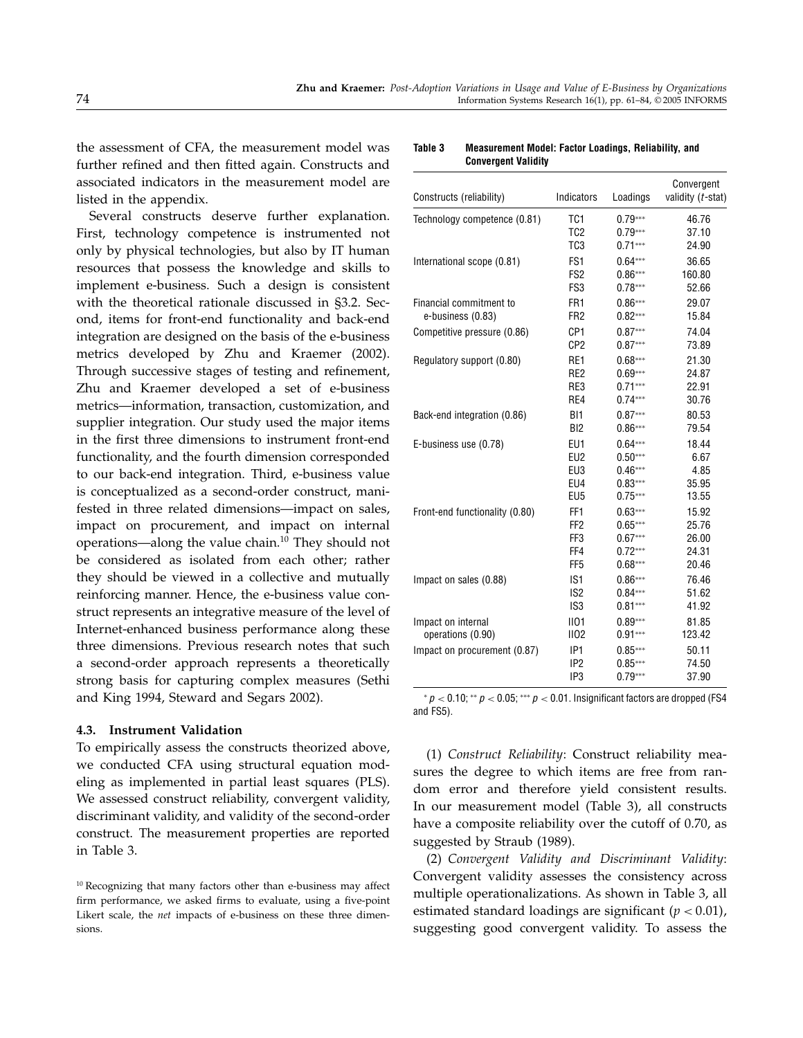the assessment of CFA, the measurement model was further refined and then fitted again. Constructs and associated indicators in the measurement model are listed in the appendix.

Several constructs deserve further explanation. First, technology competence is instrumented not only by physical technologies, but also by IT human resources that possess the knowledge and skills to implement e-business. Such a design is consistent with the theoretical rationale discussed in §3.2. Second, items for front-end functionality and back-end integration are designed on the basis of the e-business metrics developed by Zhu and Kraemer (2002). Through successive stages of testing and refinement, Zhu and Kraemer developed a set of e-business metrics—information, transaction, customization, and supplier integration. Our study used the major items in the first three dimensions to instrument front-end functionality, and the fourth dimension corresponded to our back-end integration. Third, e-business value is conceptualized as a second-order construct, manifested in three related dimensions—impact on sales, impact on procurement, and impact on internal operations—along the value chain.<sup>10</sup> They should not be considered as isolated from each other; rather they should be viewed in a collective and mutually reinforcing manner. Hence, the e-business value construct represents an integrative measure of the level of Internet-enhanced business performance along these three dimensions. Previous research notes that such a second-order approach represents a theoretically strong basis for capturing complex measures (Sethi and King 1994, Steward and Segars 2002).

#### 4.3. Instrument Validation

To empirically assess the constructs theorized above, we conducted CFA using structural equation modeling as implemented in partial least squares (PLS). We assessed construct reliability, convergent validity, discriminant validity, and validity of the second-order construct. The measurement properties are reported in Table 3.

#### Table 3 Measurement Model: Factor Loadings, Reliability, and Convergent Validity

| Constructs (reliability)       | Indicators       | Loadings              | Convergent<br>validity (t-stat) |
|--------------------------------|------------------|-----------------------|---------------------------------|
| Technology competence (0.81)   | T <sub>C</sub> 1 | $0.79***$             | 46.76                           |
|                                | T <sub>C2</sub>  | 0.79***               | 37.10                           |
|                                | T <sub>C</sub> 3 | $0.71***$             | 24.90                           |
| International scope (0.81)     | FS <sub>1</sub>  | $0.64***$             | 36.65                           |
|                                | FS <sub>2</sub>  | $0.86***$             | 160.80                          |
|                                | FS <sub>3</sub>  | $0.78***$             | 52.66                           |
| Financial commitment to        | FR <sub>1</sub>  | $0.86***$             | 29.07                           |
| e-business (0.83)              | FR <sub>2</sub>  | $0.82***$             | 15.84                           |
| Competitive pressure (0.86)    | CP <sub>1</sub>  | $0.87***$             | 74.04                           |
|                                | CP <sub>2</sub>  | $0.87***$             | 73.89                           |
| Regulatory support (0.80)      | RE1              | $0.68***$             | 21.30                           |
|                                | RE <sub>2</sub>  | $0.69***$             | 24.87                           |
|                                | RE3              | $0.71***$             | 22.91                           |
|                                | RE4              | 0.74***               | 30.76                           |
| Back-end integration (0.86)    | B <sub>11</sub>  | $0.87***$             | 80.53                           |
|                                | B <sub>12</sub>  | $0.86^{\ast\ast\ast}$ | 79.54                           |
| E-business use (0.78)          | EU1              | $0.64***$             | 18.44                           |
|                                | EU <sub>2</sub>  | $0.50***$             | 6.67                            |
|                                | EU <sub>3</sub>  | $0.46***$             | 4.85                            |
|                                | EU4              | $0.83***$             | 35.95                           |
|                                | EU <sub>5</sub>  | $0.75***$             | 13.55                           |
| Front-end functionality (0.80) | FF <sub>1</sub>  | $0.63***$             | 15.92                           |
|                                | FF <sub>2</sub>  | $0.65***$             | 25.76                           |
|                                | FF3              | $0.67***$             | 26.00                           |
|                                | FF4              | $0.72***$             | 24.31                           |
|                                | FF <sub>5</sub>  | $0.68***$             | 20.46                           |
| Impact on sales (0.88)         | IS <sub>1</sub>  | $0.86***$             | 76.46                           |
|                                | IS <sub>2</sub>  | $0.84***$             | 51.62                           |
|                                | IS <sub>3</sub>  | $0.81***$             | 41.92                           |
| Impact on internal             | II <sub>01</sub> | $0.89***$             | 81.85                           |
| operations (0.90)              | <b>II02</b>      | $0.91***$             | 123.42                          |
| Impact on procurement (0.87)   | IP <sub>1</sub>  | $0.85***$             | 50.11                           |
|                                | IP <sub>2</sub>  | $0.85***$             | 74.50                           |
|                                | IP <sub>3</sub>  | $0.79***$             | 37.90                           |

 $* p < 0.10; ** p < 0.05; ** p < 0.01$ . Insignificant factors are dropped (FS4 and FS5).

(1) Construct Reliability: Construct reliability measures the degree to which items are free from random error and therefore yield consistent results. In our measurement model (Table 3), all constructs have a composite reliability over the cutoff of 0.70, as suggested by Straub (1989).

(2) Convergent Validity and Discriminant Validity: Convergent validity assesses the consistency across multiple operationalizations. As shown in Table 3, all estimated standard loadings are significant  $(p < 0.01)$ , suggesting good convergent validity. To assess the

<sup>&</sup>lt;sup>10</sup> Recognizing that many factors other than e-business may affect firm performance, we asked firms to evaluate, using a five-point Likert scale, the net impacts of e-business on these three dimensions.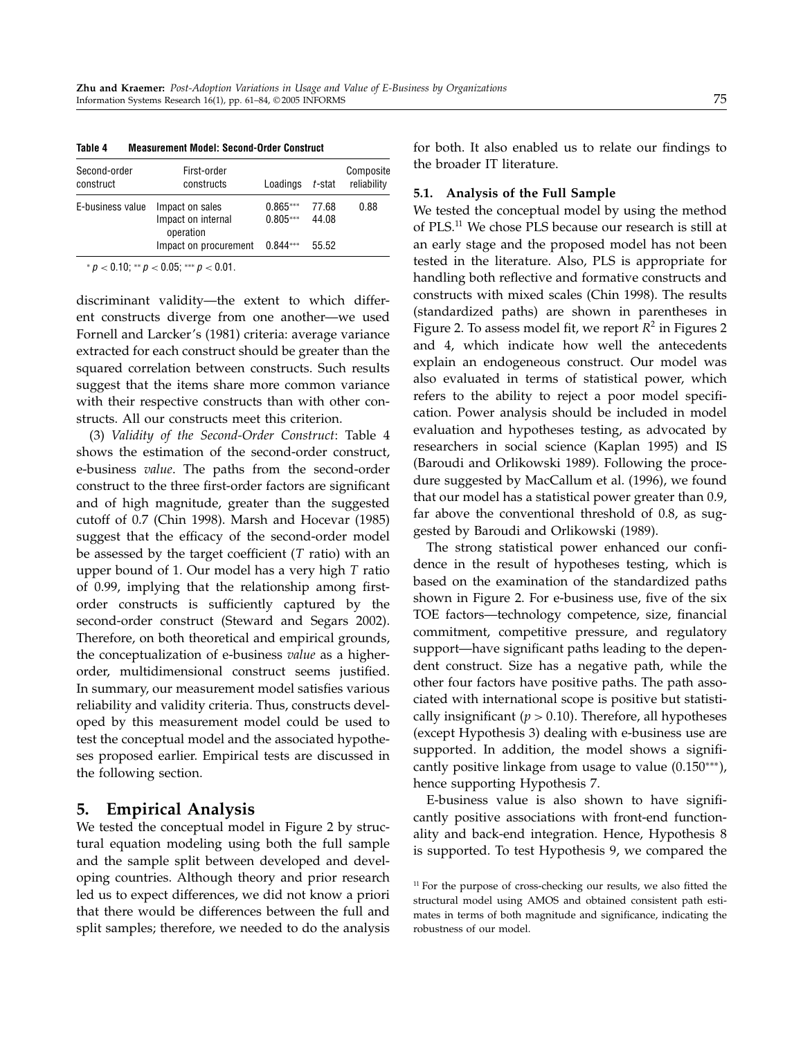| Table 4 | <b>Measurement Model: Second-Order Construct</b> |  |  |
|---------|--------------------------------------------------|--|--|
|         |                                                  |  |  |

| Second-order<br>construct | First-order<br>constructs                          | Loadings                 | t-stat         | Composite<br>reliability |
|---------------------------|----------------------------------------------------|--------------------------|----------------|--------------------------|
| E-business value          | Impact on sales<br>Impact on internal<br>operation | $0.865***$<br>$0.805***$ | 77.68<br>44.08 | 0.88                     |
|                           | Impact on procurement                              | $0.844***$               | 55.52          |                          |
|                           |                                                    |                          |                |                          |

 ${}^*p$  < 0.10;  ${}^{**}p$  < 0.05;  ${}^{***}p$  < 0.01.

discriminant validity—the extent to which different constructs diverge from one another—we used Fornell and Larcker's (1981) criteria: average variance extracted for each construct should be greater than the squared correlation between constructs. Such results suggest that the items share more common variance with their respective constructs than with other constructs. All our constructs meet this criterion.

(3) Validity of the Second-Order Construct: Table 4 shows the estimation of the second-order construct, e-business value. The paths from the second-order construct to the three first-order factors are significant and of high magnitude, greater than the suggested cutoff of 0.7 (Chin 1998). Marsh and Hocevar (1985) suggest that the efficacy of the second-order model be assessed by the target coefficient ( $T$  ratio) with an upper bound of 1. Our model has a very high T ratio of 0.99, implying that the relationship among firstorder constructs is sufficiently captured by the second-order construct (Steward and Segars 2002). Therefore, on both theoretical and empirical grounds, the conceptualization of e-business value as a higherorder, multidimensional construct seems justified. In summary, our measurement model satisfies various reliability and validity criteria. Thus, constructs developed by this measurement model could be used to test the conceptual model and the associated hypotheses proposed earlier. Empirical tests are discussed in the following section.

# 5. Empirical Analysis

We tested the conceptual model in Figure 2 by structural equation modeling using both the full sample and the sample split between developed and developing countries. Although theory and prior research led us to expect differences, we did not know a priori that there would be differences between the full and split samples; therefore, we needed to do the analysis

for both. It also enabled us to relate our findings to the broader IT literature.

#### 5.1. Analysis of the Full Sample

We tested the conceptual model by using the method of PLS.<sup>11</sup> We chose PLS because our research is still at an early stage and the proposed model has not been tested in the literature. Also, PLS is appropriate for handling both reflective and formative constructs and constructs with mixed scales (Chin 1998). The results (standardized paths) are shown in parentheses in Figure 2. To assess model fit, we report  $R^2$  in Figures 2 and 4, which indicate how well the antecedents explain an endogeneous construct. Our model was also evaluated in terms of statistical power, which refers to the ability to reject a poor model specification. Power analysis should be included in model evaluation and hypotheses testing, as advocated by researchers in social science (Kaplan 1995) and IS (Baroudi and Orlikowski 1989). Following the procedure suggested by MacCallum et al. (1996), we found that our model has a statistical power greater than 0.9, far above the conventional threshold of 0.8, as suggested by Baroudi and Orlikowski (1989).

The strong statistical power enhanced our confidence in the result of hypotheses testing, which is based on the examination of the standardized paths shown in Figure 2. For e-business use, five of the six TOE factors—technology competence, size, financial commitment, competitive pressure, and regulatory support—have significant paths leading to the dependent construct. Size has a negative path, while the other four factors have positive paths. The path associated with international scope is positive but statistically insignificant ( $p > 0.10$ ). Therefore, all hypotheses (except Hypothesis 3) dealing with e-business use are supported. In addition, the model shows a significantly positive linkage from usage to value (0.150∗∗∗), hence supporting Hypothesis 7.

E-business value is also shown to have significantly positive associations with front-end functionality and back-end integration. Hence, Hypothesis 8 is supported. To test Hypothesis 9, we compared the

<sup>&</sup>lt;sup>11</sup> For the purpose of cross-checking our results, we also fitted the structural model using AMOS and obtained consistent path estimates in terms of both magnitude and significance, indicating the robustness of our model.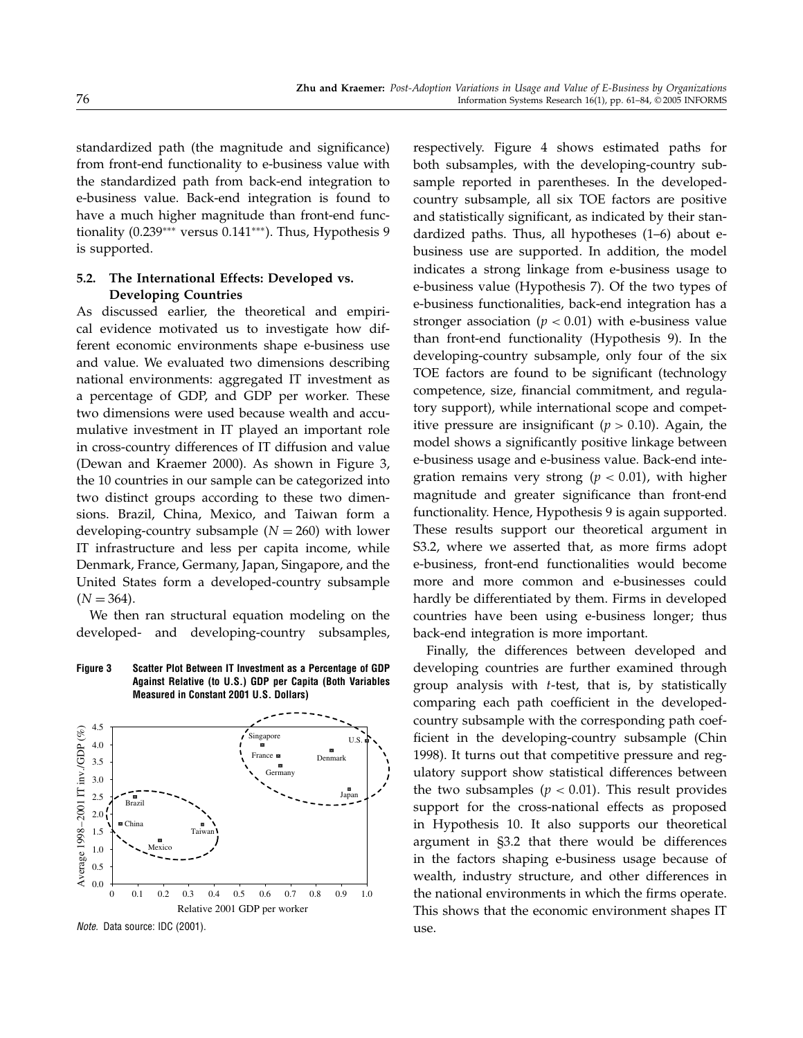standardized path (the magnitude and significance) from front-end functionality to e-business value with the standardized path from back-end integration to e-business value. Back-end integration is found to have a much higher magnitude than front-end functionality (0.239∗∗∗ versus 0.141∗∗∗). Thus, Hypothesis 9 is supported.

# 5.2. The International Effects: Developed vs. Developing Countries

As discussed earlier, the theoretical and empirical evidence motivated us to investigate how different economic environments shape e-business use and value. We evaluated two dimensions describing national environments: aggregated IT investment as a percentage of GDP, and GDP per worker. These two dimensions were used because wealth and accumulative investment in IT played an important role in cross-country differences of IT diffusion and value (Dewan and Kraemer 2000). As shown in Figure 3, the 10 countries in our sample can be categorized into two distinct groups according to these two dimensions. Brazil, China, Mexico, and Taiwan form a developing-country subsample  $(N = 260)$  with lower IT infrastructure and less per capita income, while Denmark, France, Germany, Japan, Singapore, and the United States form a developed-country subsample  $(N = 364)$ .

We then ran structural equation modeling on the developed- and developing-country subsamples, and developing-country subsamples,

#### Figure 3 Scatter Plot Between IT Investment as a Percentage of GDP Against Relative (to U.S.)GDP per Capita (Both Variables Measured in Constant 2001 U.S. Dollars)



Note. Data source: IDC (2001).

respectively. Figure 4 shows estimated paths for both subsamples, with the developing-country subsample reported in parentheses. In the developedcountry subsample, all six TOE factors are positive and statistically significant, as indicated by their standardized paths. Thus, all hypotheses (1–6) about ebusiness use are supported. In addition, the model indicates a strong linkage from e-business usage to e-business value (Hypothesis 7). Of the two types of e-business functionalities, back-end integration has a stronger association ( $p < 0.01$ ) with e-business value than front-end functionality (Hypothesis 9). In the developing-country subsample, only four of the six TOE factors are found to be significant (technology competence, size, financial commitment, and regulatory support), while international scope and competitive pressure are insignificant ( $p > 0.10$ ). Again, the model shows a significantly positive linkage between e-business usage and e-business value. Back-end integration remains very strong ( $p < 0.01$ ), with higher magnitude and greater significance than front-end functionality. Hence, Hypothesis 9 is again supported. These results support our theoretical argument in S3.2, where we asserted that, as more firms adopt e-business, front-end functionalities would become more and more common and e-businesses could hardly be differentiated by them. Firms in developed countries have been using e-business longer; thus back-end integration is more important.

Finally, the differences between developed and developing countries are further examined through group analysis with  $t$ -test, that is, by statistically comparing each path coefficient in the developedcountry subsample with the corresponding path coefficient in the developing-country subsample (Chin 1998). It turns out that competitive pressure and regulatory support show statistical differences between the two subsamples ( $p < 0.01$ ). This result provides support for the cross-national effects as proposed in Hypothesis 10. It also supports our theoretical argument in §3.2 that there would be differences in the factors shaping e-business usage because of wealth, industry structure, and other differences in the national environments in which the firms operate. This shows that the economic environment shapes IT use.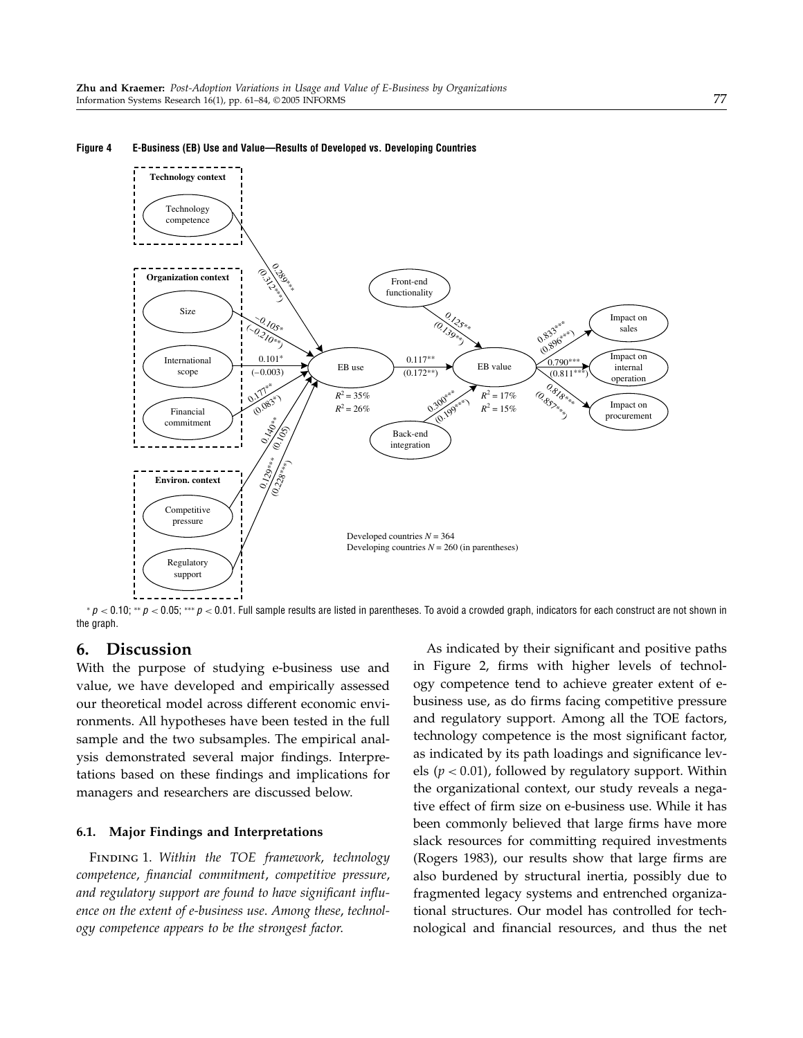

Figure 4 E-Business (EB)Use and Value—Results of Developed vs. Developing Countries

 $* p < 0.10; ** p < 0.05; *** p < 0.01$ . Full sample results are listed in parentheses. To avoid a crowded graph, indicators for each construct are not shown in the graph.

# 6. Discussion

With the purpose of studying e-business use and value, we have developed and empirically assessed our theoretical model across different economic environments. All hypotheses have been tested in the full sample and the two subsamples. The empirical analysis demonstrated several major findings. Interpretations based on these findings and implications for managers and researchers are discussed below.

#### 6.1. Major Findings and Interpretations

FINDING 1. Within the TOE framework, technology competence, financial commitment, competitive pressure, and regulatory support are found to have significant influence on the extent of e-business use. Among these, technology competence appears to be the strongest factor.

As indicated by their significant and positive paths in Figure 2, firms with higher levels of technology competence tend to achieve greater extent of ebusiness use, as do firms facing competitive pressure and regulatory support. Among all the TOE factors, technology competence is the most significant factor, as indicated by its path loadings and significance levels ( $p < 0.01$ ), followed by regulatory support. Within the organizational context, our study reveals a negative effect of firm size on e-business use. While it has been commonly believed that large firms have more slack resources for committing required investments (Rogers 1983), our results show that large firms are also burdened by structural inertia, possibly due to fragmented legacy systems and entrenched organizational structures. Our model has controlled for technological and financial resources, and thus the net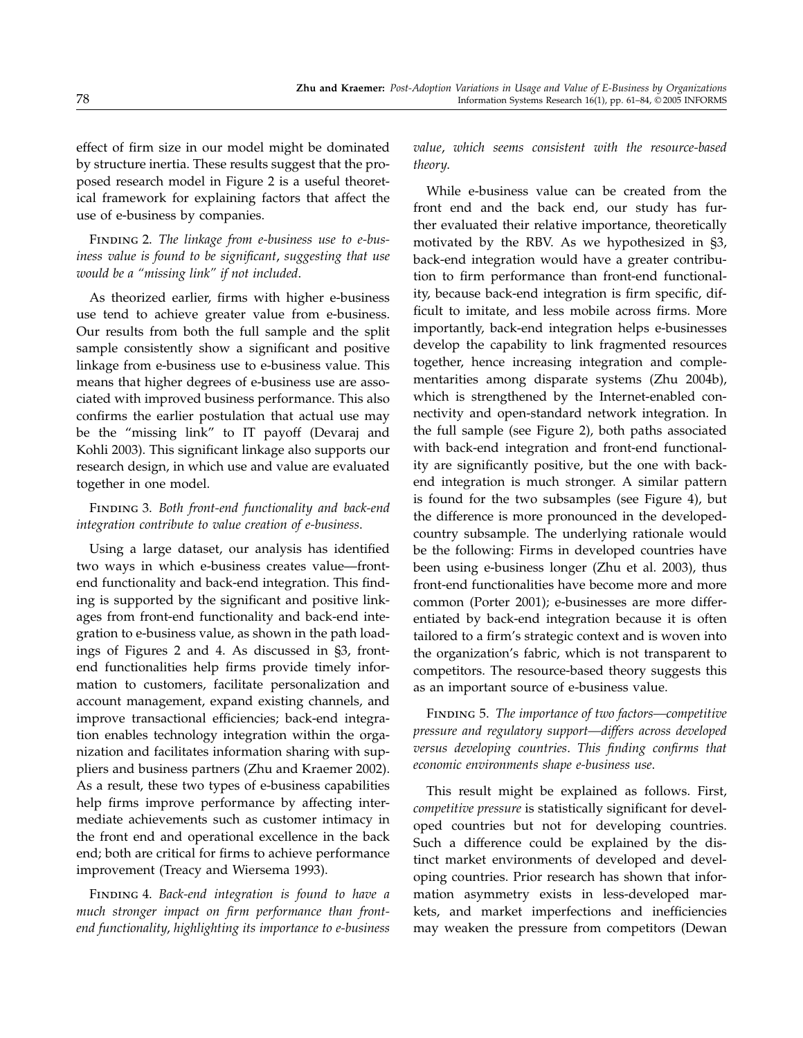effect of firm size in our model might be dominated by structure inertia. These results suggest that the proposed research model in Figure 2 is a useful theoretical framework for explaining factors that affect the use of e-business by companies.

FINDING 2. The linkage from e-business use to e-business value is found to be significant, suggesting that use would be a "missing link" if not included.

As theorized earlier, firms with higher e-business use tend to achieve greater value from e-business. Our results from both the full sample and the split sample consistently show a significant and positive linkage from e-business use to e-business value. This means that higher degrees of e-business use are associated with improved business performance. This also confirms the earlier postulation that actual use may be the "missing link" to IT payoff (Devaraj and Kohli 2003). This significant linkage also supports our research design, in which use and value are evaluated together in one model.

# FINDING 3. Both front-end functionality and back-end integration contribute to value creation of e-business.

Using a large dataset, our analysis has identified two ways in which e-business creates value—frontend functionality and back-end integration. This finding is supported by the significant and positive linkages from front-end functionality and back-end integration to e-business value, as shown in the path loadings of Figures 2 and 4. As discussed in §3, frontend functionalities help firms provide timely information to customers, facilitate personalization and account management, expand existing channels, and improve transactional efficiencies; back-end integration enables technology integration within the organization and facilitates information sharing with suppliers and business partners (Zhu and Kraemer 2002). As a result, these two types of e-business capabilities help firms improve performance by affecting intermediate achievements such as customer intimacy in the front end and operational excellence in the back end; both are critical for firms to achieve performance improvement (Treacy and Wiersema 1993).

FINDING 4. Back-end integration is found to have a much stronger impact on firm performance than frontend functionality, highlighting its importance to e-business

value, which seems consistent with the resource-based theory.

While e-business value can be created from the front end and the back end, our study has further evaluated their relative importance, theoretically motivated by the RBV. As we hypothesized in §3, back-end integration would have a greater contribution to firm performance than front-end functionality, because back-end integration is firm specific, difficult to imitate, and less mobile across firms. More importantly, back-end integration helps e-businesses develop the capability to link fragmented resources together, hence increasing integration and complementarities among disparate systems (Zhu 2004b), which is strengthened by the Internet-enabled connectivity and open-standard network integration. In the full sample (see Figure 2), both paths associated with back-end integration and front-end functionality are significantly positive, but the one with backend integration is much stronger. A similar pattern is found for the two subsamples (see Figure 4), but the difference is more pronounced in the developedcountry subsample. The underlying rationale would be the following: Firms in developed countries have been using e-business longer (Zhu et al. 2003), thus front-end functionalities have become more and more common (Porter 2001); e-businesses are more differentiated by back-end integration because it is often tailored to a firm's strategic context and is woven into the organization's fabric, which is not transparent to competitors. The resource-based theory suggests this as an important source of e-business value.

FINDING 5. The importance of two factors—competitive pressure and regulatory support—differs across developed versus developing countries. This finding confirms that economic environments shape e-business use.

This result might be explained as follows. First, competitive pressure is statistically significant for developed countries but not for developing countries. Such a difference could be explained by the distinct market environments of developed and developing countries. Prior research has shown that information asymmetry exists in less-developed markets, and market imperfections and inefficiencies may weaken the pressure from competitors (Dewan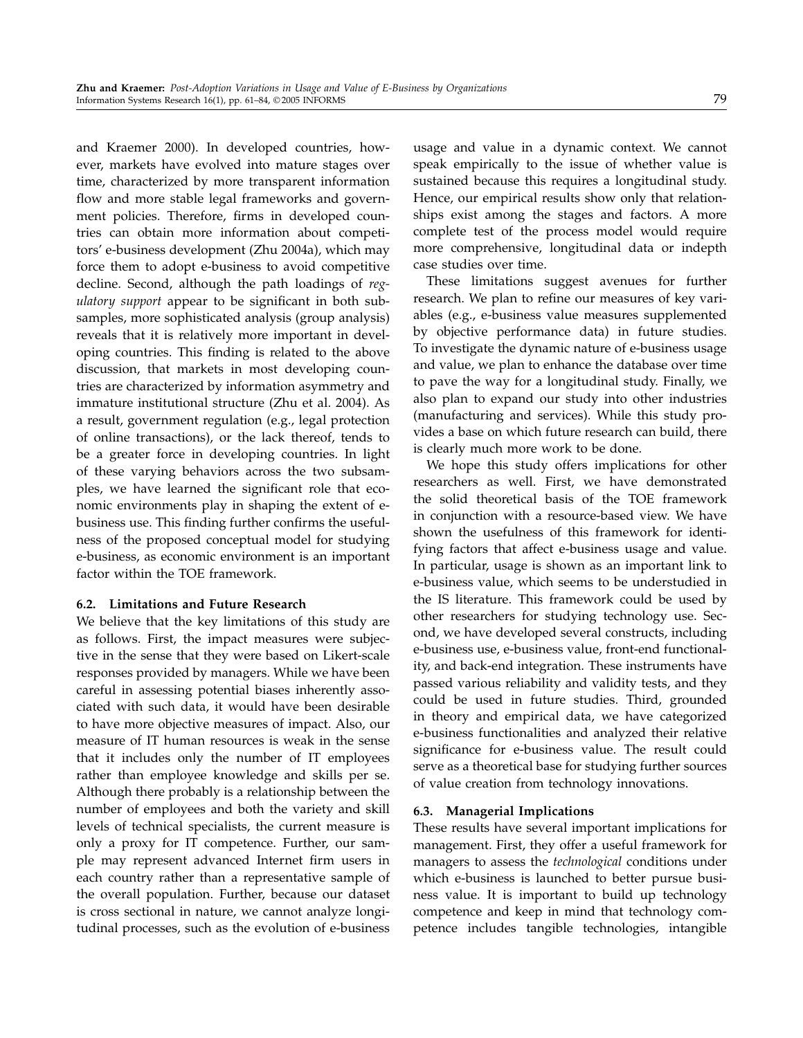and Kraemer 2000). In developed countries, however, markets have evolved into mature stages over time, characterized by more transparent information flow and more stable legal frameworks and government policies. Therefore, firms in developed countries can obtain more information about competitors' e-business development (Zhu 2004a), which may force them to adopt e-business to avoid competitive decline. Second, although the path loadings of regulatory support appear to be significant in both subsamples, more sophisticated analysis (group analysis) reveals that it is relatively more important in developing countries. This finding is related to the above discussion, that markets in most developing countries are characterized by information asymmetry and immature institutional structure (Zhu et al. 2004). As a result, government regulation (e.g., legal protection of online transactions), or the lack thereof, tends to be a greater force in developing countries. In light of these varying behaviors across the two subsamples, we have learned the significant role that economic environments play in shaping the extent of ebusiness use. This finding further confirms the usefulness of the proposed conceptual model for studying e-business, as economic environment is an important factor within the TOE framework.

# 6.2. Limitations and Future Research

We believe that the key limitations of this study are as follows. First, the impact measures were subjective in the sense that they were based on Likert-scale responses provided by managers. While we have been careful in assessing potential biases inherently associated with such data, it would have been desirable to have more objective measures of impact. Also, our measure of IT human resources is weak in the sense that it includes only the number of IT employees rather than employee knowledge and skills per se. Although there probably is a relationship between the number of employees and both the variety and skill levels of technical specialists, the current measure is only a proxy for IT competence. Further, our sample may represent advanced Internet firm users in each country rather than a representative sample of the overall population. Further, because our dataset is cross sectional in nature, we cannot analyze longitudinal processes, such as the evolution of e-business

usage and value in a dynamic context. We cannot speak empirically to the issue of whether value is sustained because this requires a longitudinal study. Hence, our empirical results show only that relationships exist among the stages and factors. A more complete test of the process model would require more comprehensive, longitudinal data or indepth case studies over time.

These limitations suggest avenues for further research. We plan to refine our measures of key variables (e.g., e-business value measures supplemented by objective performance data) in future studies. To investigate the dynamic nature of e-business usage and value, we plan to enhance the database over time to pave the way for a longitudinal study. Finally, we also plan to expand our study into other industries (manufacturing and services). While this study provides a base on which future research can build, there is clearly much more work to be done.

We hope this study offers implications for other researchers as well. First, we have demonstrated the solid theoretical basis of the TOE framework in conjunction with a resource-based view. We have shown the usefulness of this framework for identifying factors that affect e-business usage and value. In particular, usage is shown as an important link to e-business value, which seems to be understudied in the IS literature. This framework could be used by other researchers for studying technology use. Second, we have developed several constructs, including e-business use, e-business value, front-end functionality, and back-end integration. These instruments have passed various reliability and validity tests, and they could be used in future studies. Third, grounded in theory and empirical data, we have categorized e-business functionalities and analyzed their relative significance for e-business value. The result could serve as a theoretical base for studying further sources of value creation from technology innovations.

# 6.3. Managerial Implications

These results have several important implications for management. First, they offer a useful framework for managers to assess the technological conditions under which e-business is launched to better pursue business value. It is important to build up technology competence and keep in mind that technology competence includes tangible technologies, intangible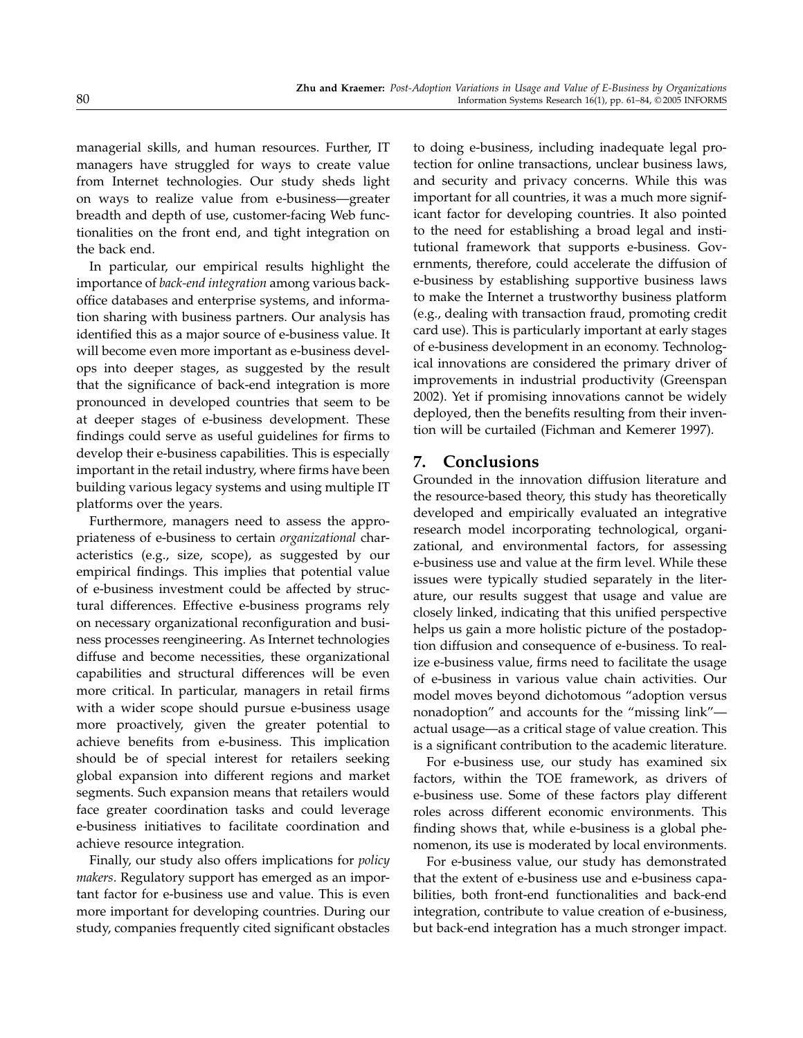managerial skills, and human resources. Further, IT managers have struggled for ways to create value from Internet technologies. Our study sheds light on ways to realize value from e-business—greater breadth and depth of use, customer-facing Web functionalities on the front end, and tight integration on the back end.

In particular, our empirical results highlight the importance of back-end integration among various backoffice databases and enterprise systems, and information sharing with business partners. Our analysis has identified this as a major source of e-business value. It will become even more important as e-business develops into deeper stages, as suggested by the result that the significance of back-end integration is more pronounced in developed countries that seem to be at deeper stages of e-business development. These findings could serve as useful guidelines for firms to develop their e-business capabilities. This is especially important in the retail industry, where firms have been building various legacy systems and using multiple IT platforms over the years.

Furthermore, managers need to assess the appropriateness of e-business to certain organizational characteristics (e.g., size, scope), as suggested by our empirical findings. This implies that potential value of e-business investment could be affected by structural differences. Effective e-business programs rely on necessary organizational reconfiguration and business processes reengineering. As Internet technologies diffuse and become necessities, these organizational capabilities and structural differences will be even more critical. In particular, managers in retail firms with a wider scope should pursue e-business usage more proactively, given the greater potential to achieve benefits from e-business. This implication should be of special interest for retailers seeking global expansion into different regions and market segments. Such expansion means that retailers would face greater coordination tasks and could leverage e-business initiatives to facilitate coordination and achieve resource integration.

Finally, our study also offers implications for policy makers. Regulatory support has emerged as an important factor for e-business use and value. This is even more important for developing countries. During our study, companies frequently cited significant obstacles

to doing e-business, including inadequate legal protection for online transactions, unclear business laws, and security and privacy concerns. While this was important for all countries, it was a much more significant factor for developing countries. It also pointed to the need for establishing a broad legal and institutional framework that supports e-business. Governments, therefore, could accelerate the diffusion of e-business by establishing supportive business laws to make the Internet a trustworthy business platform (e.g., dealing with transaction fraud, promoting credit card use). This is particularly important at early stages of e-business development in an economy. Technological innovations are considered the primary driver of improvements in industrial productivity (Greenspan 2002). Yet if promising innovations cannot be widely deployed, then the benefits resulting from their invention will be curtailed (Fichman and Kemerer 1997).

# 7. Conclusions

Grounded in the innovation diffusion literature and the resource-based theory, this study has theoretically developed and empirically evaluated an integrative research model incorporating technological, organizational, and environmental factors, for assessing e-business use and value at the firm level. While these issues were typically studied separately in the literature, our results suggest that usage and value are closely linked, indicating that this unified perspective helps us gain a more holistic picture of the postadoption diffusion and consequence of e-business. To realize e-business value, firms need to facilitate the usage of e-business in various value chain activities. Our model moves beyond dichotomous "adoption versus nonadoption" and accounts for the "missing link" actual usage—as a critical stage of value creation. This is a significant contribution to the academic literature.

For e-business use, our study has examined six factors, within the TOE framework, as drivers of e-business use. Some of these factors play different roles across different economic environments. This finding shows that, while e-business is a global phenomenon, its use is moderated by local environments.

For e-business value, our study has demonstrated that the extent of e-business use and e-business capabilities, both front-end functionalities and back-end integration, contribute to value creation of e-business, but back-end integration has a much stronger impact.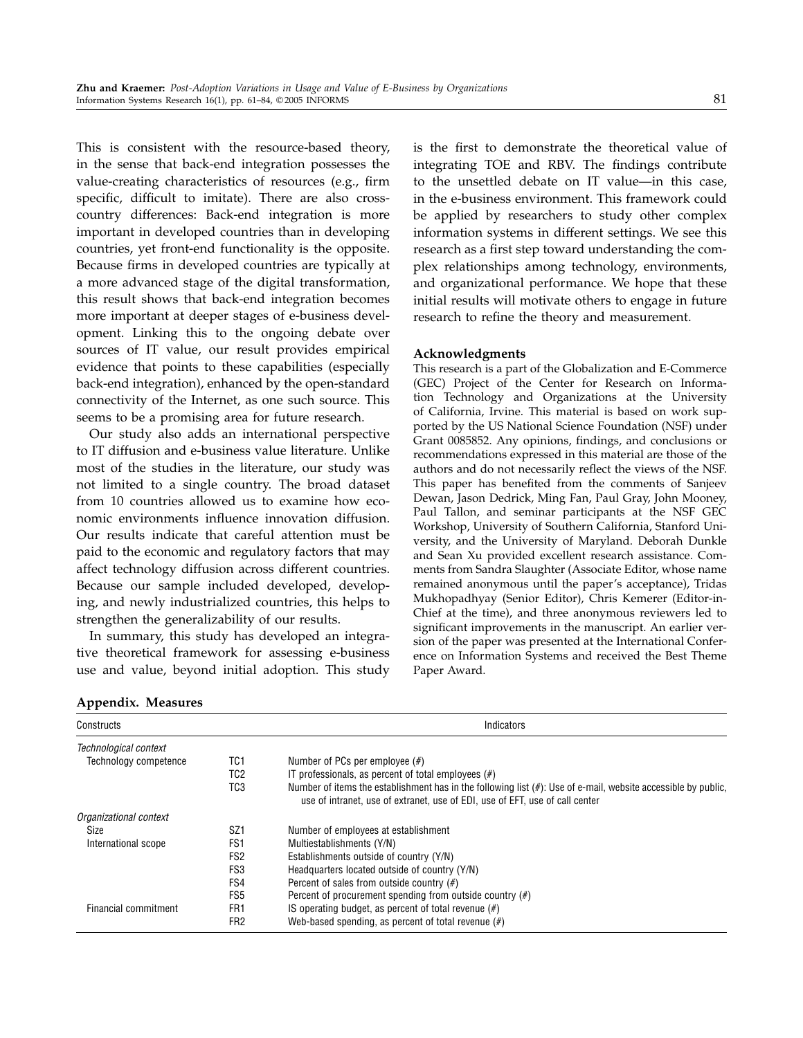This is consistent with the resource-based theory, in the sense that back-end integration possesses the value-creating characteristics of resources (e.g., firm specific, difficult to imitate). There are also crosscountry differences: Back-end integration is more important in developed countries than in developing countries, yet front-end functionality is the opposite. Because firms in developed countries are typically at a more advanced stage of the digital transformation, this result shows that back-end integration becomes more important at deeper stages of e-business development. Linking this to the ongoing debate over sources of IT value, our result provides empirical evidence that points to these capabilities (especially back-end integration), enhanced by the open-standard connectivity of the Internet, as one such source. This seems to be a promising area for future research.

Our study also adds an international perspective to IT diffusion and e-business value literature. Unlike most of the studies in the literature, our study was not limited to a single country. The broad dataset from 10 countries allowed us to examine how economic environments influence innovation diffusion. Our results indicate that careful attention must be paid to the economic and regulatory factors that may affect technology diffusion across different countries. Because our sample included developed, developing, and newly industrialized countries, this helps to strengthen the generalizability of our results.

In summary, this study has developed an integrative theoretical framework for assessing e-business use and value, beyond initial adoption. This study is the first to demonstrate the theoretical value of integrating TOE and RBV. The findings contribute to the unsettled debate on IT value—in this case, in the e-business environment. This framework could be applied by researchers to study other complex information systems in different settings. We see this research as a first step toward understanding the complex relationships among technology, environments, and organizational performance. We hope that these initial results will motivate others to engage in future research to refine the theory and measurement.

#### Acknowledgments

This research is a part of the Globalization and E-Commerce (GEC) Project of the Center for Research on Information Technology and Organizations at the University of California, Irvine. This material is based on work supported by the US National Science Foundation (NSF) under Grant 0085852. Any opinions, findings, and conclusions or recommendations expressed in this material are those of the authors and do not necessarily reflect the views of the NSF. This paper has benefited from the comments of Sanjeev Dewan, Jason Dedrick, Ming Fan, Paul Gray, John Mooney, Paul Tallon, and seminar participants at the NSF GEC Workshop, University of Southern California, Stanford University, and the University of Maryland. Deborah Dunkle and Sean Xu provided excellent research assistance. Comments from Sandra Slaughter (Associate Editor, whose name remained anonymous until the paper's acceptance), Tridas Mukhopadhyay (Senior Editor), Chris Kemerer (Editor-in-Chief at the time), and three anonymous reviewers led to significant improvements in the manuscript. An earlier version of the paper was presented at the International Conference on Information Systems and received the Best Theme Paper Award.

| Constructs             |                 | Indicators                                                                                                                                                                                        |
|------------------------|-----------------|---------------------------------------------------------------------------------------------------------------------------------------------------------------------------------------------------|
| Technological context  |                 |                                                                                                                                                                                                   |
| Technology competence  | TC1             | Number of PCs per employee $(\#)$                                                                                                                                                                 |
|                        | TC2             | IT professionals, as percent of total employees $(\#)$                                                                                                                                            |
|                        | TC <sub>3</sub> | Number of items the establishment has in the following list $(\#)$ : Use of e-mail, website accessible by public,<br>use of intranet, use of extranet, use of EDI, use of EFT, use of call center |
| Organizational context |                 |                                                                                                                                                                                                   |
| Size                   | SZ <sub>1</sub> | Number of employees at establishment                                                                                                                                                              |
| International scope    | FS <sub>1</sub> | Multiestablishments (Y/N)                                                                                                                                                                         |
|                        | FS <sub>2</sub> | Establishments outside of country (Y/N)                                                                                                                                                           |
|                        | FS3             | Headquarters located outside of country (Y/N)                                                                                                                                                     |
|                        | FS4             | Percent of sales from outside country $(\#)$                                                                                                                                                      |
|                        | FS <sub>5</sub> | Percent of procurement spending from outside country $(\#)$                                                                                                                                       |
| Financial commitment   | FR <sub>1</sub> | IS operating budget, as percent of total revenue $(\#)$                                                                                                                                           |
|                        | FR <sub>2</sub> | Web-based spending, as percent of total revenue $(\#)$                                                                                                                                            |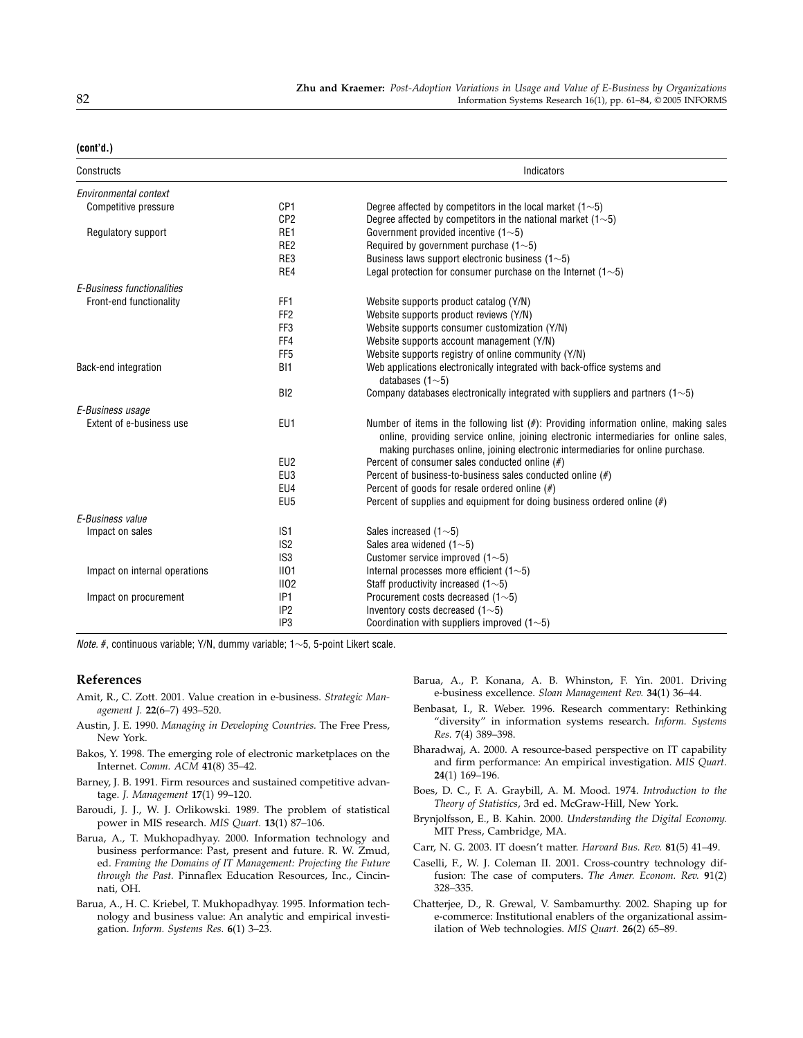| (cont'd |
|---------|
|---------|

| Constructs                    |                  | Indicators                                                                                                                                                                                                                                                            |
|-------------------------------|------------------|-----------------------------------------------------------------------------------------------------------------------------------------------------------------------------------------------------------------------------------------------------------------------|
| Environmental context         |                  |                                                                                                                                                                                                                                                                       |
| Competitive pressure          | CP <sub>1</sub>  | Degree affected by competitors in the local market $(1~5)$                                                                                                                                                                                                            |
|                               | CP <sub>2</sub>  | Degree affected by competitors in the national market $(1~5)$                                                                                                                                                                                                         |
| Regulatory support            | RE1              | Government provided incentive $(1\sim5)$                                                                                                                                                                                                                              |
|                               | RE <sub>2</sub>  | Required by government purchase $(1~5)$                                                                                                                                                                                                                               |
|                               | RE3              | Business laws support electronic business $(1~5)$                                                                                                                                                                                                                     |
|                               | RE4              | Legal protection for consumer purchase on the Internet $(1~5)$                                                                                                                                                                                                        |
| E-Business functionalities    |                  |                                                                                                                                                                                                                                                                       |
| Front-end functionality       | FF <sub>1</sub>  | Website supports product catalog (Y/N)                                                                                                                                                                                                                                |
|                               | FF <sub>2</sub>  | Website supports product reviews (Y/N)                                                                                                                                                                                                                                |
|                               | FF3              | Website supports consumer customization (Y/N)                                                                                                                                                                                                                         |
|                               | FF4              | Website supports account management (Y/N)                                                                                                                                                                                                                             |
|                               | FF <sub>5</sub>  | Website supports registry of online community (Y/N)                                                                                                                                                                                                                   |
| Back-end integration          | B <sub>11</sub>  | Web applications electronically integrated with back-office systems and<br>databases $(1\sim5)$                                                                                                                                                                       |
|                               | B <sub>12</sub>  | Company databases electronically integrated with suppliers and partners $(1~5)$                                                                                                                                                                                       |
| E-Business usage              |                  |                                                                                                                                                                                                                                                                       |
| Extent of e-business use      | EU1              | Number of items in the following list $(\#)$ : Providing information online, making sales<br>online, providing service online, joining electronic intermediaries for online sales,<br>making purchases online, joining electronic intermediaries for online purchase. |
|                               | EU <sub>2</sub>  | Percent of consumer sales conducted online (#)                                                                                                                                                                                                                        |
|                               | EU <sub>3</sub>  | Percent of business-to-business sales conducted online (#)                                                                                                                                                                                                            |
|                               | EU4              | Percent of goods for resale ordered online $(\#)$                                                                                                                                                                                                                     |
|                               | EU <sub>5</sub>  | Percent of supplies and equipment for doing business ordered online $(\#)$                                                                                                                                                                                            |
| E-Business value              |                  |                                                                                                                                                                                                                                                                       |
| Impact on sales               | IS <sub>1</sub>  | Sales increased $(1\sim5)$                                                                                                                                                                                                                                            |
|                               | IS <sub>2</sub>  | Sales area widened $(1\sim5)$                                                                                                                                                                                                                                         |
|                               | IS <sub>3</sub>  | Customer service improved $(1\sim5)$                                                                                                                                                                                                                                  |
| Impact on internal operations | II <sub>01</sub> | Internal processes more efficient $(1\sim5)$                                                                                                                                                                                                                          |
|                               | <b>II02</b>      | Staff productivity increased $(1~5)$                                                                                                                                                                                                                                  |
| Impact on procurement         | IP <sub>1</sub>  | Procurement costs decreased $(1~5)$                                                                                                                                                                                                                                   |
|                               | IP <sub>2</sub>  | Inventory costs decreased $(1~5)$                                                                                                                                                                                                                                     |
|                               | IP <sub>3</sub>  | Coordination with suppliers improved $(1\sim5)$                                                                                                                                                                                                                       |

Note. #, continuous variable; Y/N, dummy variable; 1∼5, 5-point Likert scale.

#### References

- Amit, R., C. Zott. 2001. Value creation in e-business. Strategic Management J. 22(6–7) 493–520.
- Austin, J. E. 1990. Managing in Developing Countries. The Free Press, New York.
- Bakos, Y. 1998. The emerging role of electronic marketplaces on the Internet. Comm. ACM 41(8) 35–42.
- Barney, J. B. 1991. Firm resources and sustained competitive advantage. J. Management 17(1) 99–120.
- Baroudi, J. J., W. J. Orlikowski. 1989. The problem of statistical power in MIS research. MIS Quart. 13(1) 87–106.
- Barua, A., T. Mukhopadhyay. 2000. Information technology and business performance: Past, present and future. R. W. Zmud, ed. Framing the Domains of IT Management: Projecting the Future through the Past. Pinnaflex Education Resources, Inc., Cincinnati, OH.
- Barua, A., H. C. Kriebel, T. Mukhopadhyay. 1995. Information technology and business value: An analytic and empirical investigation. Inform. Systems Res. 6(1) 3–23.
- Barua, A., P. Konana, A. B. Whinston, F. Yin. 2001. Driving e-business excellence. Sloan Management Rev. 34(1) 36–44.
- Benbasat, I., R. Weber. 1996. Research commentary: Rethinking "diversity" in information systems research. Inform. Systems Res. 7(4) 389–398.
- Bharadwaj, A. 2000. A resource-based perspective on IT capability and firm performance: An empirical investigation. MIS Quart. 24(1) 169–196.
- Boes, D. C., F. A. Graybill, A. M. Mood. 1974. Introduction to the Theory of Statistics, 3rd ed. McGraw-Hill, New York.
- Brynjolfsson, E., B. Kahin. 2000. Understanding the Digital Economy. MIT Press, Cambridge, MA.
- Carr, N. G. 2003. IT doesn't matter. Harvard Bus. Rev. 81(5) 41–49.
- Caselli, F., W. J. Coleman II. 2001. Cross-country technology diffusion: The case of computers. The Amer. Econom. Rev. 91(2) 328–335.
- Chatterjee, D., R. Grewal, V. Sambamurthy. 2002. Shaping up for e-commerce: Institutional enablers of the organizational assimilation of Web technologies. MIS Quart. 26(2) 65–89.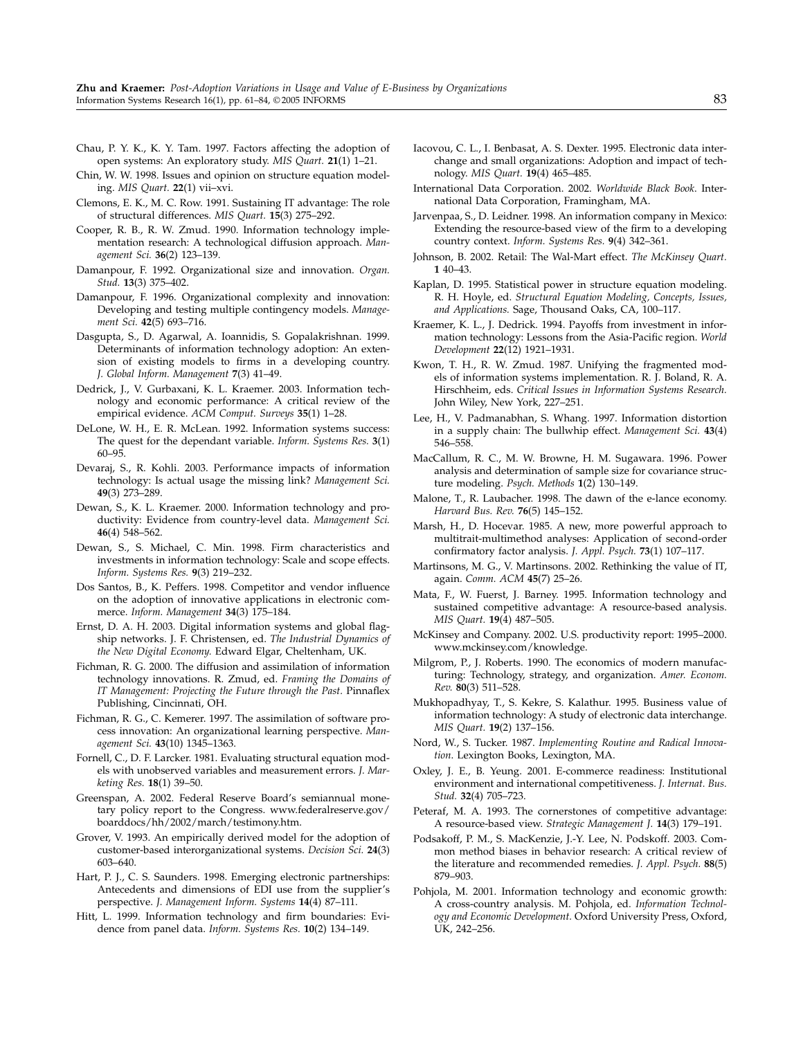- Chau, P. Y. K., K. Y. Tam. 1997. Factors affecting the adoption of open systems: An exploratory study. MIS Quart. 21(1) 1–21.
- Chin, W. W. 1998. Issues and opinion on structure equation modeling. MIS Quart. 22(1) vii–xvi.
- Clemons, E. K., M. C. Row. 1991. Sustaining IT advantage: The role of structural differences. MIS Quart. 15(3) 275–292.
- Cooper, R. B., R. W. Zmud. 1990. Information technology implementation research: A technological diffusion approach. Management Sci. 36(2) 123–139.
- Damanpour, F. 1992. Organizational size and innovation. Organ. Stud. 13(3) 375–402.
- Damanpour, F. 1996. Organizational complexity and innovation: Developing and testing multiple contingency models. Management Sci. 42(5) 693–716.
- Dasgupta, S., D. Agarwal, A. Ioannidis, S. Gopalakrishnan. 1999. Determinants of information technology adoption: An extension of existing models to firms in a developing country. J. Global Inform. Management 7(3) 41–49.
- Dedrick, J., V. Gurbaxani, K. L. Kraemer. 2003. Information technology and economic performance: A critical review of the empirical evidence. ACM Comput. Surveys 35(1) 1–28.
- DeLone, W. H., E. R. McLean. 1992. Information systems success: The quest for the dependant variable. *Inform. Systems Res.* 3(1) 60–95.
- Devaraj, S., R. Kohli. 2003. Performance impacts of information technology: Is actual usage the missing link? Management Sci. 49(3) 273–289.
- Dewan, S., K. L. Kraemer. 2000. Information technology and productivity: Evidence from country-level data. Management Sci. 46(4) 548–562.
- Dewan, S., S. Michael, C. Min. 1998. Firm characteristics and investments in information technology: Scale and scope effects. Inform. Systems Res. 9(3) 219–232.
- Dos Santos, B., K. Peffers. 1998. Competitor and vendor influence on the adoption of innovative applications in electronic commerce. Inform. Management 34(3) 175-184.
- Ernst, D. A. H. 2003. Digital information systems and global flagship networks. J. F. Christensen, ed. The Industrial Dynamics of the New Digital Economy. Edward Elgar, Cheltenham, UK.
- Fichman, R. G. 2000. The diffusion and assimilation of information technology innovations. R. Zmud, ed. Framing the Domains of IT Management: Projecting the Future through the Past. Pinnaflex Publishing, Cincinnati, OH.
- Fichman, R. G., C. Kemerer. 1997. The assimilation of software process innovation: An organizational learning perspective. Management Sci. 43(10) 1345–1363.
- Fornell, C., D. F. Larcker. 1981. Evaluating structural equation models with unobserved variables and measurement errors. J. Marketing Res. 18(1) 39–50.
- Greenspan, A. 2002. Federal Reserve Board's semiannual monetary policy report to the Congress. www.federalreserve.gov/ boarddocs/hh/2002/march/testimony.htm.
- Grover, V. 1993. An empirically derived model for the adoption of customer-based interorganizational systems. Decision Sci. 24(3) 603–640.
- Hart, P. J., C. S. Saunders. 1998. Emerging electronic partnerships: Antecedents and dimensions of EDI use from the supplier's perspective. J. Management Inform. Systems 14(4) 87–111.
- Hitt, L. 1999. Information technology and firm boundaries: Evidence from panel data. Inform. Systems Res. 10(2) 134–149.
- Iacovou, C. L., I. Benbasat, A. S. Dexter. 1995. Electronic data interchange and small organizations: Adoption and impact of technology. MIS Quart. 19(4) 465–485.
- International Data Corporation. 2002. Worldwide Black Book. International Data Corporation, Framingham, MA.
- Jarvenpaa, S., D. Leidner. 1998. An information company in Mexico: Extending the resource-based view of the firm to a developing country context. Inform. Systems Res. 9(4) 342–361.
- Johnson, B. 2002. Retail: The Wal-Mart effect. The McKinsey Quart. 1 40–43.
- Kaplan, D. 1995. Statistical power in structure equation modeling. R. H. Hoyle, ed. Structural Equation Modeling, Concepts, Issues, and Applications. Sage, Thousand Oaks, CA, 100–117.
- Kraemer, K. L., J. Dedrick. 1994. Payoffs from investment in information technology: Lessons from the Asia-Pacific region. World Development 22(12) 1921–1931.
- Kwon, T. H., R. W. Zmud. 1987. Unifying the fragmented models of information systems implementation. R. J. Boland, R. A. Hirschheim, eds. Critical Issues in Information Systems Research. John Wiley, New York, 227–251.
- Lee, H., V. Padmanabhan, S. Whang. 1997. Information distortion in a supply chain: The bullwhip effect. Management Sci. 43(4) 546–558.
- MacCallum, R. C., M. W. Browne, H. M. Sugawara. 1996. Power analysis and determination of sample size for covariance structure modeling. Psych. Methods 1(2) 130–149.
- Malone, T., R. Laubacher. 1998. The dawn of the e-lance economy. Harvard Bus. Rev. 76(5) 145–152.
- Marsh, H., D. Hocevar. 1985. A new, more powerful approach to multitrait-multimethod analyses: Application of second-order confirmatory factor analysis. J. Appl. Psych. 73(1) 107–117.
- Martinsons, M. G., V. Martinsons. 2002. Rethinking the value of IT, again. Comm. ACM 45(7) 25–26.
- Mata, F., W. Fuerst, J. Barney. 1995. Information technology and sustained competitive advantage: A resource-based analysis. MIS Quart. 19(4) 487–505.
- McKinsey and Company. 2002. U.S. productivity report: 1995–2000. www.mckinsey.com/knowledge.
- Milgrom, P., J. Roberts. 1990. The economics of modern manufacturing: Technology, strategy, and organization. Amer. Econom. Rev. 80(3) 511–528.
- Mukhopadhyay, T., S. Kekre, S. Kalathur. 1995. Business value of information technology: A study of electronic data interchange. MIS Quart. 19(2) 137–156.
- Nord, W., S. Tucker. 1987. Implementing Routine and Radical Innovation. Lexington Books, Lexington, MA.
- Oxley, J. E., B. Yeung. 2001. E-commerce readiness: Institutional environment and international competitiveness. J. Internat. Bus. Stud. 32(4) 705–723.
- Peteraf, M. A. 1993. The cornerstones of competitive advantage: A resource-based view. Strategic Management J. 14(3) 179–191.
- Podsakoff, P. M., S. MacKenzie, J.-Y. Lee, N. Podskoff. 2003. Common method biases in behavior research: A critical review of the literature and recommended remedies. J. Appl. Psych. 88(5) 879–903.
- Pohjola, M. 2001. Information technology and economic growth: A cross-country analysis. M. Pohjola, ed. Information Technology and Economic Development. Oxford University Press, Oxford, UK, 242–256.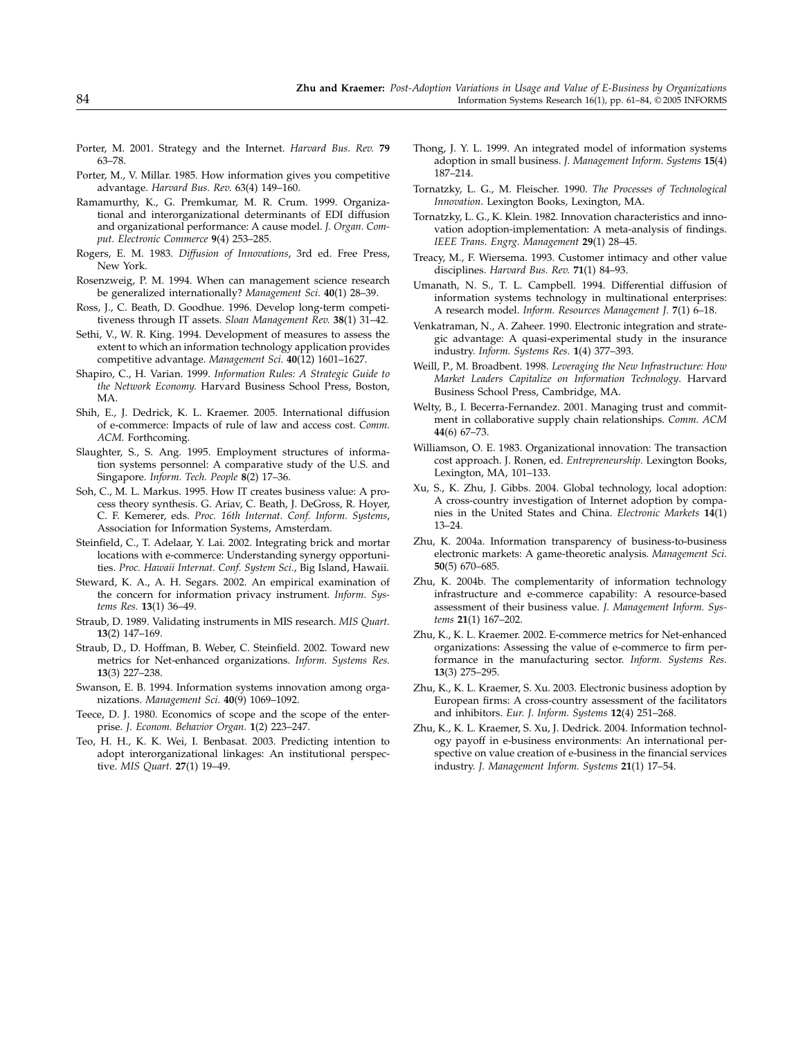- Porter, M. 2001. Strategy and the Internet. Harvard Bus. Rev. 79 63–78.
- Porter, M., V. Millar. 1985. How information gives you competitive advantage. Harvard Bus. Rev. 63(4) 149–160.
- Ramamurthy, K., G. Premkumar, M. R. Crum. 1999. Organizational and interorganizational determinants of EDI diffusion and organizational performance: A cause model. J. Organ. Comput. Electronic Commerce 9(4) 253–285.
- Rogers, E. M. 1983. Diffusion of Innovations, 3rd ed. Free Press, New York.
- Rosenzweig, P. M. 1994. When can management science research be generalized internationally? Management Sci. 40(1) 28–39.
- Ross, J., C. Beath, D. Goodhue. 1996. Develop long-term competitiveness through IT assets. Sloan Management Rev. 38(1) 31–42.
- Sethi, V., W. R. King. 1994. Development of measures to assess the extent to which an information technology application provides competitive advantage. Management Sci. 40(12) 1601–1627.
- Shapiro, C., H. Varian. 1999. Information Rules: A Strategic Guide to the Network Economy. Harvard Business School Press, Boston, MA.
- Shih, E., J. Dedrick, K. L. Kraemer. 2005. International diffusion of e-commerce: Impacts of rule of law and access cost. Comm. ACM. Forthcoming.
- Slaughter, S., S. Ang. 1995. Employment structures of information systems personnel: A comparative study of the U.S. and Singapore. Inform. Tech. People 8(2) 17–36.
- Soh, C., M. L. Markus. 1995. How IT creates business value: A process theory synthesis. G. Ariav, C. Beath, J. DeGross, R. Hoyer, C. F. Kemerer, eds. Proc. 16th Internat. Conf. Inform. Systems, Association for Information Systems, Amsterdam.
- Steinfield, C., T. Adelaar, Y. Lai. 2002. Integrating brick and mortar locations with e-commerce: Understanding synergy opportunities. Proc. Hawaii Internat. Conf. System Sci., Big Island, Hawaii.
- Steward, K. A., A. H. Segars. 2002. An empirical examination of the concern for information privacy instrument. Inform. Systems Res. 13(1) 36–49.
- Straub, D. 1989. Validating instruments in MIS research. MIS Quart. 13(2) 147–169.
- Straub, D., D. Hoffman, B. Weber, C. Steinfield. 2002. Toward new metrics for Net-enhanced organizations. Inform. Systems Res. 13(3) 227–238.
- Swanson, E. B. 1994. Information systems innovation among organizations. Management Sci. 40(9) 1069–1092.
- Teece, D. J. 1980. Economics of scope and the scope of the enterprise. J. Econom. Behavior Organ. 1(2) 223–247.
- Teo, H. H., K. K. Wei, I. Benbasat. 2003. Predicting intention to adopt interorganizational linkages: An institutional perspective. MIS Quart. 27(1) 19–49.
- Thong, J. Y. L. 1999. An integrated model of information systems adoption in small business. J. Management Inform. Systems 15(4) 187–214.
- Tornatzky, L. G., M. Fleischer. 1990. The Processes of Technological Innovation. Lexington Books, Lexington, MA.
- Tornatzky, L. G., K. Klein. 1982. Innovation characteristics and innovation adoption-implementation: A meta-analysis of findings. IEEE Trans. Engrg. Management 29(1) 28–45.
- Treacy, M., F. Wiersema. 1993. Customer intimacy and other value disciplines. Harvard Bus. Rev. 71(1) 84–93.
- Umanath, N. S., T. L. Campbell. 1994. Differential diffusion of information systems technology in multinational enterprises: A research model. Inform. Resources Management J. 7(1) 6–18.
- Venkatraman, N., A. Zaheer. 1990. Electronic integration and strategic advantage: A quasi-experimental study in the insurance industry. Inform. Systems Res. 1(4) 377–393.
- Weill, P., M. Broadbent. 1998. Leveraging the New Infrastructure: How Market Leaders Capitalize on Information Technology. Harvard Business School Press, Cambridge, MA.
- Welty, B., I. Becerra-Fernandez. 2001. Managing trust and commitment in collaborative supply chain relationships. Comm. ACM 44(6) 67–73.
- Williamson, O. E. 1983. Organizational innovation: The transaction cost approach. J. Ronen, ed. Entrepreneurship. Lexington Books, Lexington, MA, 101–133.
- Xu, S., K. Zhu, J. Gibbs. 2004. Global technology, local adoption: A cross-country investigation of Internet adoption by companies in the United States and China. Electronic Markets 14(1) 13–24.
- Zhu, K. 2004a. Information transparency of business-to-business electronic markets: A game-theoretic analysis. Management Sci. 50(5) 670–685.
- Zhu, K. 2004b. The complementarity of information technology infrastructure and e-commerce capability: A resource-based assessment of their business value. J. Management Inform. Systems 21(1) 167–202.
- Zhu, K., K. L. Kraemer. 2002. E-commerce metrics for Net-enhanced organizations: Assessing the value of e-commerce to firm performance in the manufacturing sector. Inform. Systems Res. 13(3) 275–295.
- Zhu, K., K. L. Kraemer, S. Xu. 2003. Electronic business adoption by European firms: A cross-country assessment of the facilitators and inhibitors. Eur. J. Inform. Systems 12(4) 251–268.
- Zhu, K., K. L. Kraemer, S. Xu, J. Dedrick. 2004. Information technology payoff in e-business environments: An international perspective on value creation of e-business in the financial services industry. J. Management Inform. Systems 21(1) 17–54.